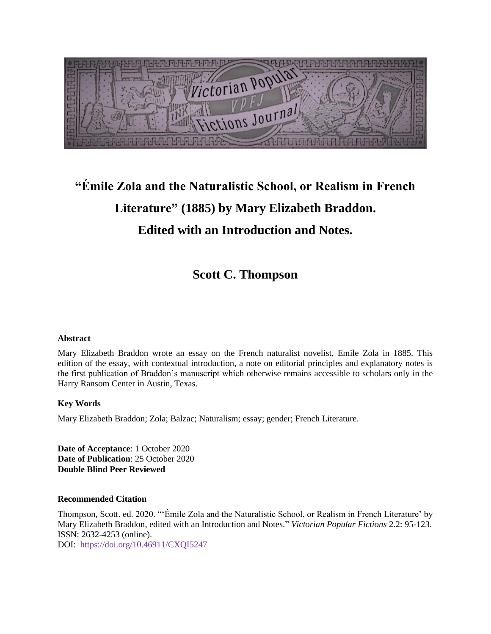1. 1. 1. 1. 1. 1. 1. 1. 1. 1. 1. Victorian Popula letions Journal

# **"Émile Zola and the Naturalistic School, or Realism in French Literature" (1885) by Mary Elizabeth Braddon. Edited with an Introduction and Notes.**

**Scott C. Thompson**

#### **Abstract**

Mary Elizabeth Braddon wrote an essay on the French naturalist novelist, Emile Zola in 1885. This edition of the essay, with contextual introduction, a note on editorial principles and explanatory notes is the first publication of Braddon's manuscript which otherwise remains accessible to scholars only in the Harry Ransom Center in Austin, Texas.

#### **Key Words**

Mary Elizabeth Braddon; Zola; Balzac; Naturalism; essay; gender; French Literature.

**Date of Acceptance**: 1 October 2020 **Date of Publication**: 25 October 2020 **Double Blind Peer Reviewed**

#### **Recommended Citation**

Thompson, Scott. ed. 2020. "'Émile Zola and the Naturalistic School, or Realism in French Literature' by Mary Elizabeth Braddon, edited with an Introduction and Notes." *Victorian Popular Fictions* 2.2: 95-123. ISSN: 2632-4253 (online).

DOI: https://doi.org/10.46911/CXQI5247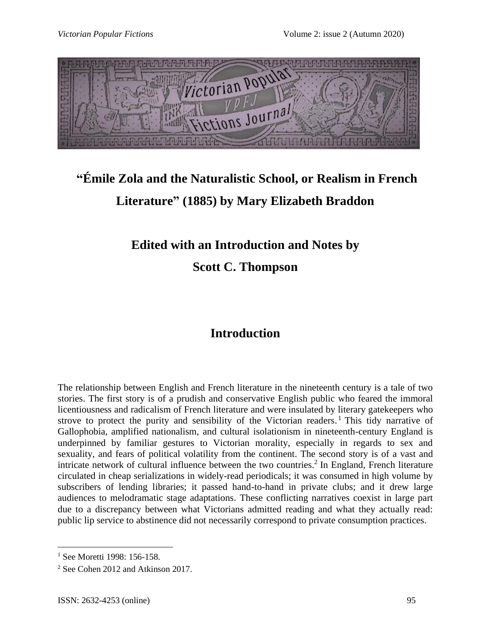

# **"Émile Zola and the Naturalistic School, or Realism in French Literature" (1885) by Mary Elizabeth Braddon**

## **Edited with an Introduction and Notes by**

**Scott C. Thompson**

## **Introduction**

The relationship between English and French literature in the nineteenth century is a tale of two stories. The first story is of a prudish and conservative English public who feared the immoral licentiousness and radicalism of French literature and were insulated by literary gatekeepers who strove to protect the purity and sensibility of the Victorian readers.<sup>1</sup> This tidy narrative of Gallophobia, amplified nationalism, and cultural isolationism in nineteenth-century England is underpinned by familiar gestures to Victorian morality, especially in regards to sex and sexuality, and fears of political volatility from the continent. The second story is of a vast and intricate network of cultural influence between the two countries. 2 In England, French literature circulated in cheap serializations in widely-read periodicals; it was consumed in high volume by subscribers of lending libraries; it passed hand-to-hand in private clubs; and it drew large audiences to melodramatic stage adaptations. These conflicting narratives coexist in large part due to a discrepancy between what Victorians admitted reading and what they actually read: public lip service to abstinence did not necessarily correspond to private consumption practices.

<sup>1</sup> See Moretti 1998: 156-158.

<sup>&</sup>lt;sup>2</sup> See Cohen 2012 and Atkinson 2017.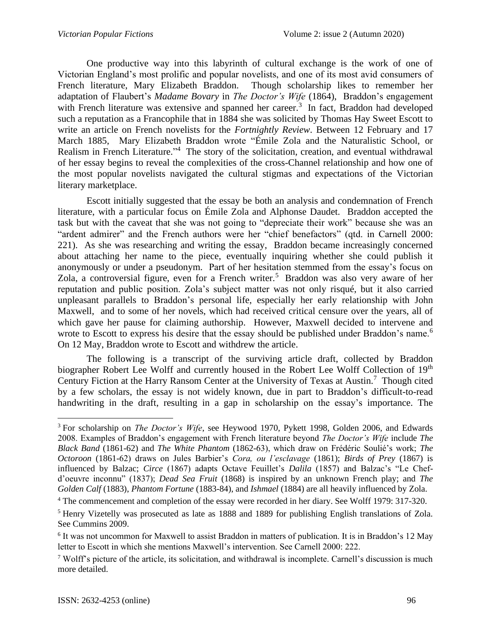One productive way into this labyrinth of cultural exchange is the work of one of Victorian England's most prolific and popular novelists, and one of its most avid consumers of French literature, Mary Elizabeth Braddon. Though scholarship likes to remember her adaptation of Flaubert's *Madame Bovary* in *The Doctor's Wife* (1864), Braddon's engagement with French literature was extensive and spanned her career.<sup>3</sup> In fact, Braddon had developed such a reputation as a Francophile that in 1884 she was solicited by Thomas Hay Sweet Escott to write an article on French novelists for the *Fortnightly Review*. Between 12 February and 17 March 1885, Mary Elizabeth Braddon wrote "Émile Zola and the Naturalistic School, or Realism in French Literature."<sup>4</sup> The story of the solicitation, creation, and eventual withdrawal of her essay begins to reveal the complexities of the cross-Channel relationship and how one of the most popular novelists navigated the cultural stigmas and expectations of the Victorian literary marketplace.

Escott initially suggested that the essay be both an analysis and condemnation of French literature, with a particular focus on Émile Zola and Alphonse Daudet. Braddon accepted the task but with the caveat that she was not going to "depreciate their work" because she was an "ardent admirer" and the French authors were her "chief benefactors" (qtd. in Carnell 2000: 221). As she was researching and writing the essay, Braddon became increasingly concerned about attaching her name to the piece, eventually inquiring whether she could publish it anonymously or under a pseudonym. Part of her hesitation stemmed from the essay's focus on Zola, a controversial figure, even for a French writer.<sup>5</sup> Braddon was also very aware of her reputation and public position. Zola's subject matter was not only risqué, but it also carried unpleasant parallels to Braddon's personal life, especially her early relationship with John Maxwell, and to some of her novels, which had received critical censure over the years, all of which gave her pause for claiming authorship. However, Maxwell decided to intervene and wrote to Escott to express his desire that the essay should be published under Braddon's name.<sup>6</sup> On 12 May, Braddon wrote to Escott and withdrew the article.

The following is a transcript of the surviving article draft, collected by Braddon biographer Robert Lee Wolff and currently housed in the Robert Lee Wolff Collection of 19<sup>th</sup> Century Fiction at the Harry Ransom Center at the University of Texas at Austin.<sup>7</sup> Though cited by a few scholars, the essay is not widely known, due in part to Braddon's difficult-to-read handwriting in the draft, resulting in a gap in scholarship on the essay's importance. The

<sup>&</sup>lt;sup>3</sup> For scholarship on *The Doctor's Wife*, see Heywood 1970, Pykett 1998, Golden 2006, and Edwards 2008. Examples of Braddon's engagement with French literature beyond *The Doctor's Wife* include *The Black Band* (1861-62) and *The White Phantom* (1862-63), which draw on Frédéric Soulié's work; *The Octoroon* (1861-62) draws on Jules Barbier's *Cora, ou l'esclavage* (1861); *Birds of Prey* (1867) is influenced by Balzac; *Circe* (1867) adapts Octave Feuillet's *Dalila* (1857) and Balzac's "Le Chefd'oeuvre inconnu" (1837); *Dead Sea Fruit* (1868) is inspired by an unknown French play; and *The Golden Calf* (1883), *Phantom Fortune* (1883-84), and *Ishmael* (1884) are all heavily influenced by Zola.

<sup>&</sup>lt;sup>4</sup> The commencement and completion of the essay were recorded in her diary. See Wolff 1979: 317-320.

<sup>5</sup> Henry Vizetelly was prosecuted as late as 1888 and 1889 for publishing English translations of Zola. See Cummins 2009.

<sup>&</sup>lt;sup>6</sup> It was not uncommon for Maxwell to assist Braddon in matters of publication. It is in Braddon's 12 May letter to Escott in which she mentions Maxwell's intervention. See Carnell 2000: 222.

<sup>7</sup> Wolff's picture of the article, its solicitation, and withdrawal is incomplete. Carnell's discussion is much more detailed.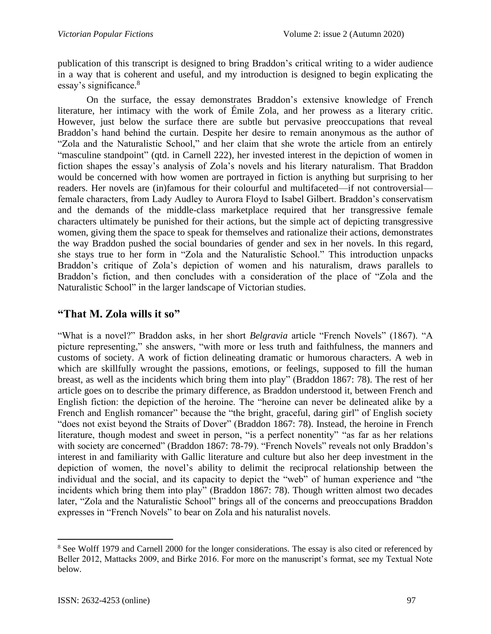publication of this transcript is designed to bring Braddon's critical writing to a wider audience in a way that is coherent and useful, and my introduction is designed to begin explicating the essay's significance. 8

On the surface, the essay demonstrates Braddon's extensive knowledge of French literature, her intimacy with the work of Émile Zola, and her prowess as a literary critic. However, just below the surface there are subtle but pervasive preoccupations that reveal Braddon's hand behind the curtain. Despite her desire to remain anonymous as the author of "Zola and the Naturalistic School," and her claim that she wrote the article from an entirely "masculine standpoint" (qtd. in Carnell 222), her invested interest in the depiction of women in fiction shapes the essay's analysis of Zola's novels and his literary naturalism. That Braddon would be concerned with how women are portrayed in fiction is anything but surprising to her readers. Her novels are (in)famous for their colourful and multifaceted—if not controversial female characters, from Lady Audley to Aurora Floyd to Isabel Gilbert. Braddon's conservatism and the demands of the middle-class marketplace required that her transgressive female characters ultimately be punished for their actions, but the simple act of depicting transgressive women, giving them the space to speak for themselves and rationalize their actions, demonstrates the way Braddon pushed the social boundaries of gender and sex in her novels. In this regard, she stays true to her form in "Zola and the Naturalistic School." This introduction unpacks Braddon's critique of Zola's depiction of women and his naturalism, draws parallels to Braddon's fiction, and then concludes with a consideration of the place of "Zola and the Naturalistic School" in the larger landscape of Victorian studies.

### **"That M. Zola wills it so"**

"What is a novel?" Braddon asks, in her short *Belgravia* article "French Novels" (1867). "A picture representing," she answers, "with more or less truth and faithfulness, the manners and customs of society. A work of fiction delineating dramatic or humorous characters. A web in which are skillfully wrought the passions, emotions, or feelings, supposed to fill the human breast, as well as the incidents which bring them into play" (Braddon 1867: 78). The rest of her article goes on to describe the primary difference, as Braddon understood it, between French and English fiction: the depiction of the heroine. The "heroine can never be delineated alike by a French and English romancer" because the "the bright, graceful, daring girl" of English society "does not exist beyond the Straits of Dover" (Braddon 1867: 78). Instead, the heroine in French literature, though modest and sweet in person, "is a perfect nonentity" "as far as her relations with society are concerned" (Braddon 1867: 78-79). "French Novels" reveals not only Braddon's interest in and familiarity with Gallic literature and culture but also her deep investment in the depiction of women, the novel's ability to delimit the reciprocal relationship between the individual and the social, and its capacity to depict the "web" of human experience and "the incidents which bring them into play" (Braddon 1867: 78). Though written almost two decades later, "Zola and the Naturalistic School" brings all of the concerns and preoccupations Braddon expresses in "French Novels" to bear on Zola and his naturalist novels.

<sup>&</sup>lt;sup>8</sup> See Wolff 1979 and Carnell 2000 for the longer considerations. The essay is also cited or referenced by Beller 2012, Mattacks 2009, and Birke 2016. For more on the manuscript's format, see my Textual Note below.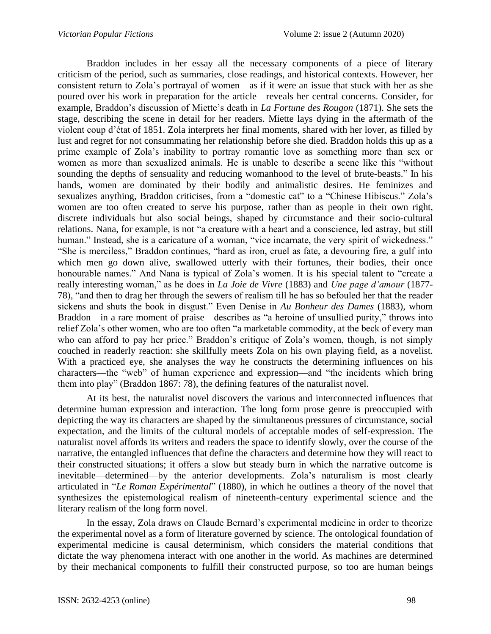Braddon includes in her essay all the necessary components of a piece of literary criticism of the period, such as summaries, close readings, and historical contexts. However, her consistent return to Zola's portrayal of women—as if it were an issue that stuck with her as she poured over his work in preparation for the article—reveals her central concerns. Consider, for example, Braddon's discussion of Miette's death in *La Fortune des Rougon* (1871). She sets the stage, describing the scene in detail for her readers. Miette lays dying in the aftermath of the violent coup d'état of 1851. Zola interprets her final moments, shared with her lover, as filled by lust and regret for not consummating her relationship before she died. Braddon holds this up as a prime example of Zola's inability to portray romantic love as something more than sex or women as more than sexualized animals. He is unable to describe a scene like this "without sounding the depths of sensuality and reducing womanhood to the level of brute-beasts." In his hands, women are dominated by their bodily and animalistic desires. He feminizes and sexualizes anything, Braddon criticises, from a "domestic cat" to a "Chinese Hibiscus." Zola's women are too often created to serve his purpose, rather than as people in their own right, discrete individuals but also social beings, shaped by circumstance and their socio-cultural relations. Nana, for example, is not "a creature with a heart and a conscience, led astray, but still human." Instead, she is a caricature of a woman, "vice incarnate, the very spirit of wickedness." "She is merciless," Braddon continues, "hard as iron, cruel as fate, a devouring fire, a gulf into which men go down alive, swallowed utterly with their fortunes, their bodies, their once honourable names." And Nana is typical of Zola's women. It is his special talent to "create a really interesting woman," as he does in *La Joie de Vivre* (1883) and *Une page d'amour* (1877- 78), "and then to drag her through the sewers of realism till he has so befouled her that the reader sickens and shuts the book in disgust." Even Denise in *Au Bonheur des Dames* (1883), whom Braddon—in a rare moment of praise—describes as "a heroine of unsullied purity," throws into relief Zola's other women, who are too often "a marketable commodity, at the beck of every man who can afford to pay her price." Braddon's critique of Zola's women, though, is not simply couched in readerly reaction: she skillfully meets Zola on his own playing field, as a novelist. With a practiced eye, she analyses the way he constructs the determining influences on his characters—the "web" of human experience and expression—and "the incidents which bring them into play" (Braddon 1867: 78), the defining features of the naturalist novel.

At its best, the naturalist novel discovers the various and interconnected influences that determine human expression and interaction. The long form prose genre is preoccupied with depicting the way its characters are shaped by the simultaneous pressures of circumstance, social expectation, and the limits of the cultural models of acceptable modes of self-expression. The naturalist novel affords its writers and readers the space to identify slowly, over the course of the narrative, the entangled influences that define the characters and determine how they will react to their constructed situations; it offers a slow but steady burn in which the narrative outcome is inevitable—determined—by the anterior developments. Zola's naturalism is most clearly articulated in "*Le Roman Expérimental*" (1880), in which he outlines a theory of the novel that synthesizes the epistemological realism of nineteenth-century experimental science and the literary realism of the long form novel.

In the essay, Zola draws on Claude Bernard's experimental medicine in order to theorize the experimental novel as a form of literature governed by science. The ontological foundation of experimental medicine is causal determinism, which considers the material conditions that dictate the way phenomena interact with one another in the world. As machines are determined by their mechanical components to fulfill their constructed purpose, so too are human beings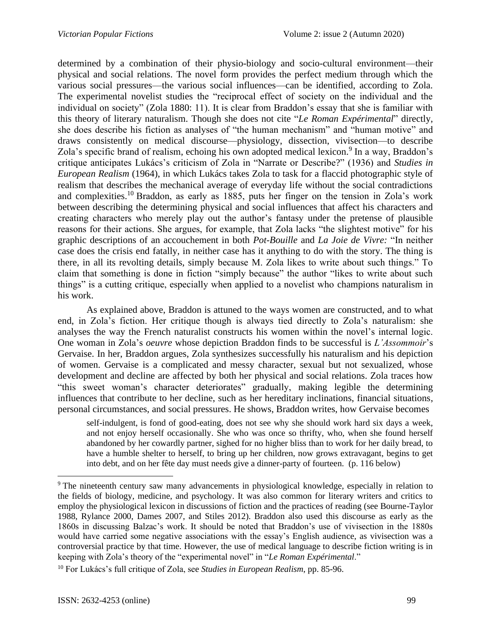determined by a combination of their physio-biology and socio-cultural environment—their physical and social relations. The novel form provides the perfect medium through which the various social pressures—the various social influences—can be identified, according to Zola. The experimental novelist studies the "reciprocal effect of society on the individual and the individual on society" (Zola 1880: 11). It is clear from Braddon's essay that she is familiar with this theory of literary naturalism. Though she does not cite "*Le Roman Expérimental*" directly, she does describe his fiction as analyses of "the human mechanism" and "human motive" and draws consistently on medical discourse—physiology, dissection, vivisection—to describe Zola's specific brand of realism, echoing his own adopted medical lexicon.<sup>9</sup> In a way, Braddon's critique anticipates Lukács's criticism of Zola in "Narrate or Describe?" (1936) and *Studies in European Realism* (1964), in which Lukács takes Zola to task for a flaccid photographic style of realism that describes the mechanical average of everyday life without the social contradictions and complexities.<sup>10</sup> Braddon, as early as 1885, puts her finger on the tension in Zola's work between describing the determining physical and social influences that affect his characters and creating characters who merely play out the author's fantasy under the pretense of plausible reasons for their actions. She argues, for example, that Zola lacks "the slightest motive" for his graphic descriptions of an accouchement in both *Pot-Bouille* and *La Joie de Vivre:* "In neither case does the crisis end fatally, in neither case has it anything to do with the story. The thing is there, in all its revolting details, simply because M. Zola likes to write about such things." To claim that something is done in fiction "simply because" the author "likes to write about such things" is a cutting critique, especially when applied to a novelist who champions naturalism in his work.

As explained above, Braddon is attuned to the ways women are constructed, and to what end, in Zola's fiction. Her critique though is always tied directly to Zola's naturalism: she analyses the way the French naturalist constructs his women within the novel's internal logic. One woman in Zola's *oeuvre* whose depiction Braddon finds to be successful is *L'Assommoir*'s Gervaise. In her, Braddon argues, Zola synthesizes successfully his naturalism and his depiction of women. Gervaise is a complicated and messy character, sexual but not sexualized, whose development and decline are affected by both her physical and social relations. Zola traces how "this sweet woman's character deteriorates" gradually, making legible the determining influences that contribute to her decline, such as her hereditary inclinations, financial situations, personal circumstances, and social pressures. He shows, Braddon writes, how Gervaise becomes

self-indulgent, is fond of good-eating, does not see why she should work hard six days a week, and not enjoy herself occasionally. She who was once so thrifty, who, when she found herself abandoned by her cowardly partner, sighed for no higher bliss than to work for her daily bread, to have a humble shelter to herself, to bring up her children, now grows extravagant, begins to get into debt, and on her fête day must needs give a dinner-party of fourteen. (p. 116 below)

<sup>9</sup> The nineteenth century saw many advancements in physiological knowledge, especially in relation to the fields of biology, medicine, and psychology. It was also common for literary writers and critics to employ the physiological lexicon in discussions of fiction and the practices of reading (see Bourne-Taylor 1988, Rylance 2000, Dames 2007, and Stiles 2012). Braddon also used this discourse as early as the 1860s in discussing Balzac's work. It should be noted that Braddon's use of vivisection in the 1880s would have carried some negative associations with the essay's English audience, as vivisection was a controversial practice by that time. However, the use of medical language to describe fiction writing is in keeping with Zola's theory of the "experimental novel" in "*Le Roman Expérimental*."

<sup>10</sup> For Lukács's full critique of Zola, see *Studies in European Realism*, pp. 85-96.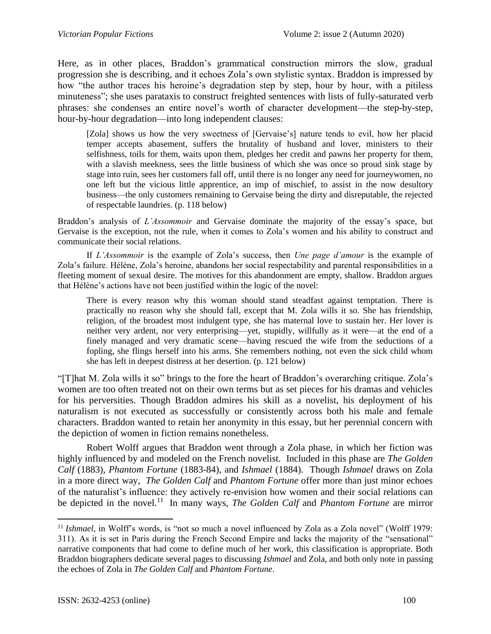Here, as in other places, Braddon's grammatical construction mirrors the slow, gradual progression she is describing, and it echoes Zola's own stylistic syntax. Braddon is impressed by how "the author traces his heroine's degradation step by step, hour by hour, with a pitiless minuteness"; she uses parataxis to construct freighted sentences with lists of fully-saturated verb phrases: she condenses an entire novel's worth of character development—the step-by-step, hour-by-hour degradation—into long independent clauses:

[Zola] shows us how the very sweetness of [Gervaise's] nature tends to evil, how her placid temper accepts abasement, suffers the brutality of husband and lover, ministers to their selfishness, toils for them, waits upon them, pledges her credit and pawns her property for them, with a slavish meekness, sees the little business of which she was once so proud sink stage by stage into ruin, sees her customers fall off, until there is no longer any need for journeywomen, no one left but the vicious little apprentice, an imp of mischief, to assist in the now desultory business—the only customers remaining to Gervaise being the dirty and disreputable, the rejected of respectable laundries. (p. 118 below)

Braddon's analysis of *L'Assommoir* and Gervaise dominate the majority of the essay's space, but Gervaise is the exception, not the rule, when it comes to Zola's women and his ability to construct and communicate their social relations.

If *L'Assommoir* is the example of Zola's success, then *Une page d'amour* is the example of Zola's failure. Hélène, Zola's heroine, abandons her social respectability and parental responsibilities in a fleeting moment of sexual desire. The motives for this abandonment are empty, shallow. Braddon argues that Hélène's actions have not been justified within the logic of the novel:

There is every reason why this woman should stand steadfast against temptation. There is practically no reason why she should fall, except that M. Zola wills it so. She has friendship, religion, of the broadest most indulgent type, she has maternal love to sustain her. Her lover is neither very ardent, nor very enterprising—yet, stupidly, willfully as it were—at the end of a finely managed and very dramatic scene—having rescued the wife from the seductions of a fopling, she flings herself into his arms. She remembers nothing, not even the sick child whom she has left in deepest distress at her desertion. (p. 121 below)

"[T]hat M. Zola wills it so" brings to the fore the heart of Braddon's overarching critique. Zola's women are too often treated not on their own terms but as set pieces for his dramas and vehicles for his perversities. Though Braddon admires his skill as a novelist, his deployment of his naturalism is not executed as successfully or consistently across both his male and female characters. Braddon wanted to retain her anonymity in this essay, but her perennial concern with the depiction of women in fiction remains nonetheless.

Robert Wolff argues that Braddon went through a Zola phase, in which her fiction was highly influenced by and modeled on the French novelist. Included in this phase are *The Golden Calf* (1883), *Phantom Fortune* (1883-84), and *Ishmael* (1884). Though *Ishmael* draws on Zola in a more direct way, *The Golden Calf* and *Phantom Fortune* offer more than just minor echoes of the naturalist's influence: they actively re-envision how women and their social relations can be depicted in the novel.<sup>11</sup> In many ways, *The Golden Calf* and *Phantom Fortune* are mirror

<sup>&</sup>lt;sup>11</sup> *Ishmael*, in Wolff's words, is "not so much a novel influenced by Zola as a Zola novel" (Wolff 1979: 311). As it is set in Paris during the French Second Empire and lacks the majority of the "sensational" narrative components that had come to define much of her work, this classification is appropriate. Both Braddon biographers dedicate several pages to discussing *Ishmael* and Zola, and both only note in passing the echoes of Zola in *The Golden Calf* and *Phantom Fortune*.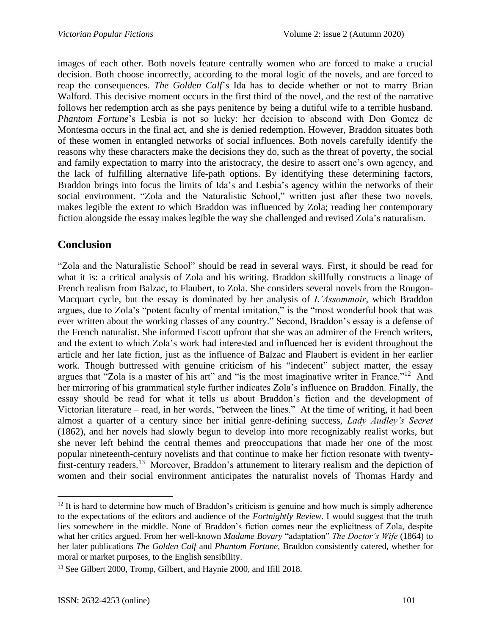images of each other. Both novels feature centrally women who are forced to make a crucial decision. Both choose incorrectly, according to the moral logic of the novels, and are forced to reap the consequences. *The Golden Calf*'s Ida has to decide whether or not to marry Brian Walford. This decisive moment occurs in the first third of the novel, and the rest of the narrative follows her redemption arch as she pays penitence by being a dutiful wife to a terrible husband. *Phantom Fortune*'s Lesbia is not so lucky: her decision to abscond with Don Gomez de Montesma occurs in the final act, and she is denied redemption. However, Braddon situates both of these women in entangled networks of social influences. Both novels carefully identify the reasons why these characters make the decisions they do, such as the threat of poverty, the social and family expectation to marry into the aristocracy, the desire to assert one's own agency, and the lack of fulfilling alternative life-path options. By identifying these determining factors, Braddon brings into focus the limits of Ida's and Lesbia's agency within the networks of their social environment. "Zola and the Naturalistic School," written just after these two novels, makes legible the extent to which Braddon was influenced by Zola; reading her contemporary fiction alongside the essay makes legible the way she challenged and revised Zola's naturalism.

### **Conclusion**

"Zola and the Naturalistic School" should be read in several ways. First, it should be read for what it is: a critical analysis of Zola and his writing. Braddon skillfully constructs a linage of French realism from Balzac, to Flaubert, to Zola. She considers several novels from the Rougon-Macquart cycle, but the essay is dominated by her analysis of *L'Assommoir*, which Braddon argues, due to Zola's "potent faculty of mental imitation," is the "most wonderful book that was ever written about the working classes of any country." Second, Braddon's essay is a defense of the French naturalist. She informed Escott upfront that she was an admirer of the French writers, and the extent to which Zola's work had interested and influenced her is evident throughout the article and her late fiction, just as the influence of Balzac and Flaubert is evident in her earlier work. Though buttressed with genuine criticism of his "indecent" subject matter, the essay argues that "Zola is a master of his art" and "is the most imaginative writer in France."<sup>12</sup> And her mirroring of his grammatical style further indicates Zola's influence on Braddon. Finally, the essay should be read for what it tells us about Braddon's fiction and the development of Victorian literature – read, in her words, "between the lines." At the time of writing, it had been almost a quarter of a century since her initial genre-defining success, *Lady Audley's Secret*  (1862), and her novels had slowly begun to develop into more recognizably realist works, but she never left behind the central themes and preoccupations that made her one of the most popular nineteenth-century novelists and that continue to make her fiction resonate with twentyfirst-century readers.<sup>13</sup> Moreover, Braddon's attunement to literary realism and the depiction of women and their social environment anticipates the naturalist novels of Thomas Hardy and

<sup>&</sup>lt;sup>12</sup> It is hard to determine how much of Braddon's criticism is genuine and how much is simply adherence to the expectations of the editors and audience of the *Fortnightly Review*. I would suggest that the truth lies somewhere in the middle. None of Braddon's fiction comes near the explicitness of Zola, despite what her critics argued. From her well-known *Madame Bovary* "adaptation" *The Doctor's Wife* (1864) to her later publications *The Golden Calf* and *Phantom Fortune*, Braddon consistently catered, whether for moral or market purposes, to the English sensibility.

<sup>&</sup>lt;sup>13</sup> See Gilbert 2000, Tromp, Gilbert, and Haynie 2000, and Ifill 2018.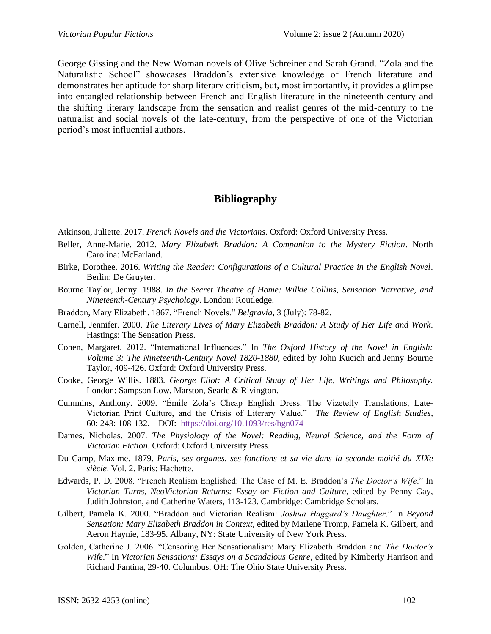George Gissing and the New Woman novels of Olive Schreiner and Sarah Grand. "Zola and the Naturalistic School" showcases Braddon's extensive knowledge of French literature and demonstrates her aptitude for sharp literary criticism, but, most importantly, it provides a glimpse into entangled relationship between French and English literature in the nineteenth century and the shifting literary landscape from the sensation and realist genres of the mid-century to the naturalist and social novels of the late-century, from the perspective of one of the Victorian period's most influential authors.

### **Bibliography**

Atkinson, Juliette. 2017. *French Novels and the Victorians*. Oxford: Oxford University Press.

- Beller, Anne-Marie. 2012. *Mary Elizabeth Braddon: A Companion to the Mystery Fiction*. North Carolina: McFarland.
- Birke, Dorothee. 2016. *Writing the Reader: Configurations of a Cultural Practice in the English Novel*. Berlin: De Gruyter.
- Bourne Taylor, Jenny. 1988. *In the Secret Theatre of Home: Wilkie Collins, Sensation Narrative, and Nineteenth-Century Psychology*. London: Routledge.
- Braddon, Mary Elizabeth. 1867. "French Novels." *Belgravia*, 3 (July): 78-82.
- Carnell, Jennifer. 2000. *The Literary Lives of Mary Elizabeth Braddon: A Study of Her Life and Work*. Hastings: The Sensation Press.
- Cohen, Margaret. 2012. "International Influences." In *The Oxford History of the Novel in English: Volume 3: The Nineteenth-Century Novel 1820-1880*, edited by John Kucich and Jenny Bourne Taylor, 409-426. Oxford: Oxford University Press.
- Cooke, George Willis. 1883. *George Eliot: A Critical Study of Her Life, Writings and Philosophy.*  London: Sampson Low, Marston, Searle & Rivington.
- Cummins, Anthony. 2009. "Émile Zola's Cheap English Dress: The Vizetelly Translations, Late-Victorian Print Culture, and the Crisis of Literary Value." *The Review of English Studies*, 60: 243: 108-132. DOI: <https://doi.org/10.1093/res/hgn074>
- Dames, Nicholas. 2007. *The Physiology of the Novel: Reading, Neural Science, and the Form of Victorian Fiction*. Oxford: Oxford University Press.
- Du Camp, Maxime. 1879. *Paris, ses organes, ses fonctions et sa vie dans la seconde moitié du XIXe siècle*. Vol. 2. Paris: Hachette.
- Edwards, P. D. 2008. "French Realism Englished: The Case of M. E. Braddon's *The Doctor's Wife*." In *Victorian Turns, NeoVictorian Returns: Essay on Fiction and Culture*, edited by Penny Gay, Judith Johnston, and Catherine Waters, 113-123. Cambridge: Cambridge Scholars.
- Gilbert, Pamela K. 2000. "Braddon and Victorian Realism: *Joshua Haggard's Daughter*." In *Beyond Sensation: Mary Elizabeth Braddon in Context*, edited by Marlene Tromp, Pamela K. Gilbert, and Aeron Haynie, 183-95. Albany, NY: State University of New York Press.
- Golden, Catherine J. 2006. "Censoring Her Sensationalism: Mary Elizabeth Braddon and *The Doctor's Wife*." In *Victorian Sensations: Essays on a Scandalous Genre*, edited by Kimberly Harrison and Richard Fantina, 29-40. Columbus, OH: The Ohio State University Press.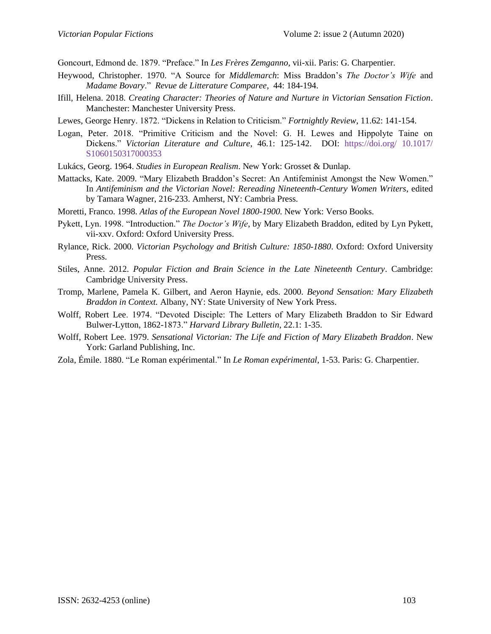Goncourt, Edmond de. 1879. "Preface." In *Les Frères Zemganno*, vii-xii. Paris: G. Charpentier.

- Heywood, Christopher. 1970. "A Source for *Middlemarch*: Miss Braddon's *The Doctor's Wife* and *Madame Bovary*." *Revue de Litterature Comparee*, 44: 184-194.
- Ifill, Helena. 2018. *Creating Character: Theories of Nature and Nurture in Victorian Sensation Fiction*. Manchester: Manchester University Press.
- Lewes, George Henry. 1872. "Dickens in Relation to Criticism." *Fortnightly Review*, 11.62: 141-154.
- Logan, Peter. 2018. "Primitive Criticism and the Novel: G. H. Lewes and Hippolyte Taine on Dickens." *Victorian Literature and Culture*, 46.1: 125-142. DOI: [https://doi.org/](https://doi.org/%2010.1017/%20S1060150317000353) 10.1017/ [S1060150317000353](https://doi.org/%2010.1017/%20S1060150317000353)
- Lukács, Georg. 1964. *Studies in European Realism*. New York: Grosset & Dunlap.
- Mattacks, Kate. 2009. "Mary Elizabeth Braddon's Secret: An Antifeminist Amongst the New Women." In *Antifeminism and the Victorian Novel: Rereading Nineteenth-Century Women Writers*, edited by Tamara Wagner, 216-233. Amherst, NY: Cambria Press.
- Moretti, Franco. 1998. *Atlas of the European Novel 1800-1900*. New York: Verso Books.
- Pykett, Lyn. 1998. "Introduction." *The Doctor's Wife*, by Mary Elizabeth Braddon, edited by Lyn Pykett, vii-xxv. Oxford: Oxford University Press.
- Rylance, Rick. 2000. *Victorian Psychology and British Culture: 1850-1880*. Oxford: Oxford University Press.
- Stiles, Anne. 2012. *Popular Fiction and Brain Science in the Late Nineteenth Century*. Cambridge: Cambridge University Press.
- Tromp, Marlene, Pamela K. Gilbert, and Aeron Haynie, eds. 2000. *Beyond Sensation: Mary Elizabeth Braddon in Context.* Albany, NY: State University of New York Press.
- Wolff, Robert Lee. 1974. "Devoted Disciple: The Letters of Mary Elizabeth Braddon to Sir Edward Bulwer-Lytton, 1862-1873." *Harvard Library Bulletin*, 22.1: 1-35.
- Wolff, Robert Lee. 1979. *Sensational Victorian: The Life and Fiction of Mary Elizabeth Braddon*. New York: Garland Publishing, Inc.
- Zola, Émile. 1880. "Le Roman expérimental." In *Le Roman expérimental*, 1-53. Paris: G. Charpentier.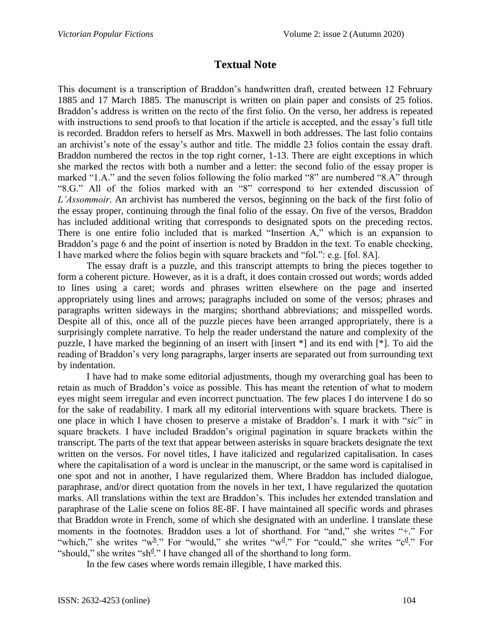#### **Textual Note**

This document is a transcription of Braddon's handwritten draft, created between 12 February 1885 and 17 March 1885. The manuscript is written on plain paper and consists of 25 folios. Braddon's address is written on the recto of the first folio. On the verso, her address is repeated with instructions to send proofs to that location if the article is accepted, and the essay's full title is recorded. Braddon refers to herself as Mrs. Maxwell in both addresses. The last folio contains an archivist's note of the essay's author and title. The middle 23 folios contain the essay draft. Braddon numbered the rectos in the top right corner, 1-13. There are eight exceptions in which she marked the rectos with both a number and a letter: the second folio of the essay proper is marked "1.A." and the seven folios following the folio marked "8" are numbered "8.A" through "8.G." All of the folios marked with an "8" correspond to her extended discussion of *L'Assommoir*. An archivist has numbered the versos, beginning on the back of the first folio of the essay proper, continuing through the final folio of the essay. On five of the versos, Braddon has included additional writing that corresponds to designated spots on the preceding rectos. There is one entire folio included that is marked "Insertion A," which is an expansion to Braddon's page 6 and the point of insertion is noted by Braddon in the text. To enable checking, I have marked where the folios begin with square brackets and "fol.": e.g. [fol. 8A].

The essay draft is a puzzle, and this transcript attempts to bring the pieces together to form a coherent picture. However, as it is a draft, it does contain crossed out words; words added to lines using a caret; words and phrases written elsewhere on the page and inserted appropriately using lines and arrows; paragraphs included on some of the versos; phrases and paragraphs written sideways in the margins; shorthand abbreviations; and misspelled words. Despite all of this, once all of the puzzle pieces have been arranged appropriately, there is a surprisingly complete narrative. To help the reader understand the nature and complexity of the puzzle, I have marked the beginning of an insert with [insert \*] and its end with [\*]. To aid the reading of Braddon's very long paragraphs, larger inserts are separated out from surrounding text by indentation.

I have had to make some editorial adjustments, though my overarching goal has been to retain as much of Braddon's voice as possible. This has meant the retention of what to modern eyes might seem irregular and even incorrect punctuation. The few places I do intervene I do so for the sake of readability. I mark all my editorial interventions with square brackets. There is one place in which I have chosen to preserve a mistake of Braddon's. I mark it with "*sic*" in square brackets. I have included Braddon's original pagination in square brackets within the transcript. The parts of the text that appear between asterisks in square brackets designate the text written on the versos. For novel titles, I have italicized and regularized capitalisation. In cases where the capitalisation of a word is unclear in the manuscript, or the same word is capitalised in one spot and not in another, I have regularized them. Where Braddon has included dialogue, paraphrase, and/or direct quotation from the novels in her text, I have regularized the quotation marks. All translations within the text are Braddon's. This includes her extended translation and paraphrase of the Lalie scene on folios 8E-8F. I have maintained all specific words and phrases that Braddon wrote in French, some of which she designated with an underline. I translate these moments in the footnotes. Braddon uses a lot of shorthand. For "and," she writes "+." For "which," she writes " $w^{\underline{h}}$ ." For "would," she writes " $w^{\underline{d}}$ ." For "could," she writes " $c^{\underline{d}}$ ." For "should," she writes " $sh^d$ ." I have changed all of the shorthand to long form.

In the few cases where words remain illegible, I have marked this.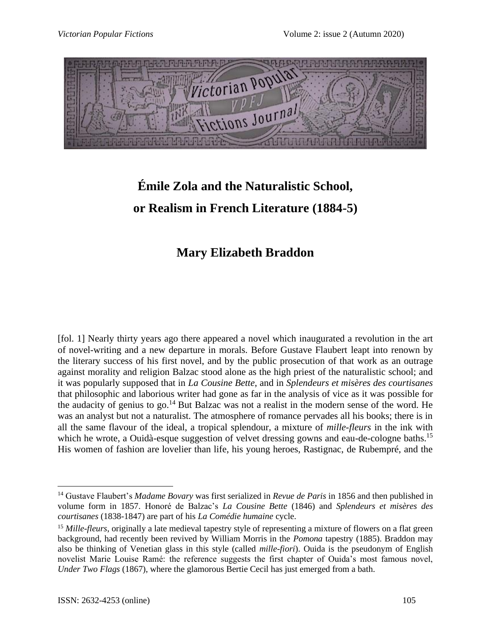

# **Émile Zola and the Naturalistic School, or Realism in French Literature (1884-5)**

## **Mary Elizabeth Braddon**

[fol. 1] Nearly thirty years ago there appeared a novel which inaugurated a revolution in the art of novel-writing and a new departure in morals. Before Gustave Flaubert leapt into renown by the literary success of his first novel, and by the public prosecution of that work as an outrage against morality and religion Balzac stood alone as the high priest of the naturalistic school; and it was popularly supposed that in *La Cousine Bette*, and in *Splendeurs et misères des courtisanes*  that philosophic and laborious writer had gone as far in the analysis of vice as it was possible for the audacity of genius to go.<sup>14</sup> But Balzac was not a realist in the modern sense of the word. He was an analyst but not a naturalist. The atmosphere of romance pervades all his books; there is in all the same flavour of the ideal, a tropical splendour, a mixture of *mille-fleurs* in the ink with which he wrote, a Ouidà-esque suggestion of velvet dressing gowns and eau-de-cologne baths.<sup>15</sup> His women of fashion are lovelier than life, his young heroes, Rastignac, de Rubempré, and the

<sup>14</sup> Gustave Flaubert's *Madame Bovary* was first serialized in *Revue de Paris* in 1856 and then published in volume form in 1857. Honoré de Balzac's *La Cousine Bette* (1846) and *Splendeurs et misères des courtisanes* (1838-1847) are part of his *La Comédie humaine* cycle.

<sup>&</sup>lt;sup>15</sup> *Mille-fleurs*, originally a late medieval tapestry style of representing a mixture of flowers on a flat green background, had recently been revived by William Morris in the *Pomona* tapestry (1885). Braddon may also be thinking of Venetian glass in this style (called *mille-fiori*). Ouida is the pseudonym of English novelist Marie Louise Ramé: the reference suggests the first chapter of Ouida's most famous novel, *Under Two Flags* (1867), where the glamorous Bertie Cecil has just emerged from a bath.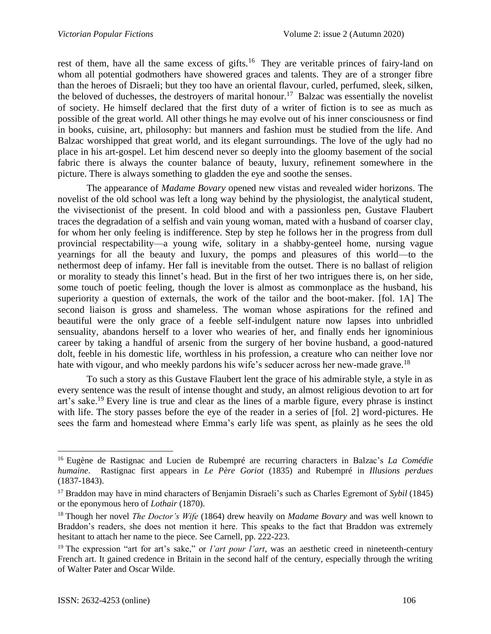rest of them, have all the same excess of gifts.<sup>16</sup> They are veritable princes of fairy-land on whom all potential godmothers have showered graces and talents. They are of a stronger fibre than the heroes of Disraeli; but they too have an oriental flavour, curled, perfumed, sleek, silken, the beloved of duchesses, the destroyers of marital honour.<sup>17</sup> Balzac was essentially the novelist of society. He himself declared that the first duty of a writer of fiction is to see as much as possible of the great world. All other things he may evolve out of his inner consciousness or find in books, cuisine, art, philosophy: but manners and fashion must be studied from the life. And Balzac worshipped that great world, and its elegant surroundings. The love of the ugly had no place in his art-gospel. Let him descend never so deeply into the gloomy basement of the social fabric there is always the counter balance of beauty, luxury, refinement somewhere in the picture. There is always something to gladden the eye and soothe the senses.

The appearance of *Madame Bovary* opened new vistas and revealed wider horizons. The novelist of the old school was left a long way behind by the physiologist, the analytical student, the vivisectionist of the present. In cold blood and with a passionless pen, Gustave Flaubert traces the degradation of a selfish and vain young woman, mated with a husband of coarser clay, for whom her only feeling is indifference. Step by step he follows her in the progress from dull provincial respectability—a young wife, solitary in a shabby-genteel home, nursing vague yearnings for all the beauty and luxury, the pomps and pleasures of this world—to the nethermost deep of infamy. Her fall is inevitable from the outset. There is no ballast of religion or morality to steady this linnet's head. But in the first of her two intrigues there is, on her side, some touch of poetic feeling, though the lover is almost as commonplace as the husband, his superiority a question of externals, the work of the tailor and the boot-maker. [fol. 1A] The second liaison is gross and shameless. The woman whose aspirations for the refined and beautiful were the only grace of a feeble self-indulgent nature now lapses into unbridled sensuality, abandons herself to a lover who wearies of her, and finally ends her ignominious career by taking a handful of arsenic from the surgery of her bovine husband, a good-natured dolt, feeble in his domestic life, worthless in his profession, a creature who can neither love nor hate with vigour, and who meekly pardons his wife's seducer across her new-made grave.<sup>18</sup>

To such a story as this Gustave Flaubert lent the grace of his admirable style, a style in as every sentence was the result of intense thought and study, an almost religious devotion to art for art's sake.<sup>19</sup> Every line is true and clear as the lines of a marble figure, every phrase is instinct with life. The story passes before the eye of the reader in a series of [fol. 2] word-pictures. He sees the farm and homestead where Emma's early life was spent, as plainly as he sees the old

<sup>16</sup> Eugène de Rastignac and Lucien de Rubempré are recurring characters in Balzac's *La Comédie humaine*. Rastignac first appears in *Le Père Goriot* (1835) and Rubempré in *Illusions perdues* (1837-1843).

<sup>17</sup> Braddon may have in mind characters of Benjamin Disraeli's such as Charles Egremont of *Sybil* (1845) or the eponymous hero of *Lothair* (1870).

<sup>18</sup> Though her novel *The Doctor's Wife* (1864) drew heavily on *Madame Bovary* and was well known to Braddon's readers, she does not mention it here. This speaks to the fact that Braddon was extremely hesitant to attach her name to the piece. See Carnell, pp. 222-223.

<sup>&</sup>lt;sup>19</sup> The expression "art for art's sake," or *l'art pour l'art*, was an aesthetic creed in nineteenth-century French art. It gained credence in Britain in the second half of the century, especially through the writing of Walter Pater and Oscar Wilde.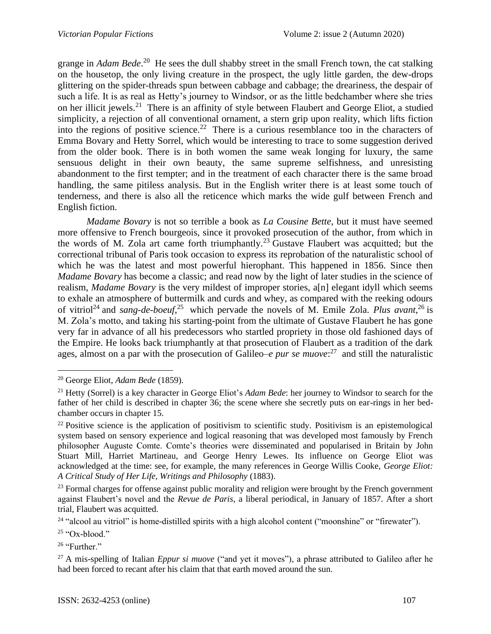grange in *Adam Bede*. <sup>20</sup> He sees the dull shabby street in the small French town, the cat stalking on the housetop, the only living creature in the prospect, the ugly little garden, the dew-drops glittering on the spider-threads spun between cabbage and cabbage; the dreariness, the despair of such a life. It is as real as Hetty's journey to Windsor, or as the little bedchamber where she tries on her illicit jewels.<sup>21</sup> There is an affinity of style between Flaubert and George Eliot, a studied simplicity, a rejection of all conventional ornament, a stern grip upon reality, which lifts fiction into the regions of positive science.<sup>22</sup> There is a curious resemblance too in the characters of Emma Bovary and Hetty Sorrel, which would be interesting to trace to some suggestion derived from the older book. There is in both women the same weak longing for luxury, the same sensuous delight in their own beauty, the same supreme selfishness, and unresisting abandonment to the first tempter; and in the treatment of each character there is the same broad handling, the same pitiless analysis. But in the English writer there is at least some touch of tenderness, and there is also all the reticence which marks the wide gulf between French and English fiction.

*Madame Bovary* is not so terrible a book as *La Cousine Bette*, but it must have seemed more offensive to French bourgeois, since it provoked prosecution of the author, from which in the words of M. Zola art came forth triumphantly.<sup>23</sup> Gustave Flaubert was acquitted; but the correctional tribunal of Paris took occasion to express its reprobation of the naturalistic school of which he was the latest and most powerful hierophant. This happened in 1856. Since then *Madame Bovary* has become a classic; and read now by the light of later studies in the science of realism, *Madame Bovary* is the very mildest of improper stories, a[n] elegant idyll which seems to exhale an atmosphere of buttermilk and curds and whey, as compared with the reeking odours of vitriol<sup>24</sup> and *sang-de-boeuf*,<sup>25</sup> which pervade the novels of M. Emile Zola. *Plus avant*,<sup>26</sup> is M. Zola's motto, and taking his starting-point from the ultimate of Gustave Flaubert he has gone very far in advance of all his predecessors who startled propriety in those old fashioned days of the Empire. He looks back triumphantly at that prosecution of Flaubert as a tradition of the dark ages, almost on a par with the prosecution of Galileo–*e pur se muove*:<sup>27</sup> and still the naturalistic

<sup>26</sup> "Further."

<sup>20</sup> George Eliot, *Adam Bede* (1859).

<sup>21</sup> Hetty (Sorrel) is a key character in George Eliot's *Adam Bede*: her journey to Windsor to search for the father of her child is described in chapter 36; the scene where she secretly puts on ear-rings in her bedchamber occurs in chapter 15.

<sup>&</sup>lt;sup>22</sup> Positive science is the application of positivism to scientific study. Positivism is an epistemological system based on sensory experience and logical reasoning that was developed most famously by French philosopher Auguste Comte. Comte's theories were disseminated and popularised in Britain by John Stuart Mill, Harriet Martineau, and George Henry Lewes. Its influence on George Eliot was acknowledged at the time: see, for example, the many references in George Willis Cooke, *George Eliot: A Critical Study of Her Life, Writings and Philosophy* (1883).

<sup>&</sup>lt;sup>23</sup> Formal charges for offense against public morality and religion were brought by the French government against Flaubert's novel and the *Revue de Paris*, a liberal periodical, in January of 1857. After a short trial, Flaubert was acquitted.

<sup>&</sup>lt;sup>24</sup> "alcool au vitriol" is home-distilled spirits with a high alcohol content ("moonshine" or "firewater").

 $25$  "Ox-blood."

<sup>27</sup> A mis-spelling of Italian *Eppur si muove* ("and yet it moves"), a phrase attributed to Galileo after he had been forced to recant after his claim that that earth moved around the sun.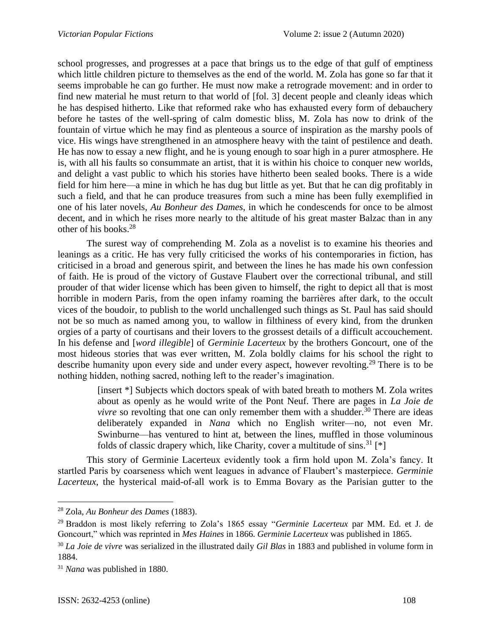school progresses, and progresses at a pace that brings us to the edge of that gulf of emptiness which little children picture to themselves as the end of the world. M. Zola has gone so far that it seems improbable he can go further. He must now make a retrograde movement: and in order to find new material he must return to that world of [fol. 3] decent people and cleanly ideas which he has despised hitherto. Like that reformed rake who has exhausted every form of debauchery before he tastes of the well-spring of calm domestic bliss, M. Zola has now to drink of the fountain of virtue which he may find as plenteous a source of inspiration as the marshy pools of vice. His wings have strengthened in an atmosphere heavy with the taint of pestilence and death. He has now to essay a new flight, and he is young enough to soar high in a purer atmosphere. He is, with all his faults so consummate an artist, that it is within his choice to conquer new worlds, and delight a vast public to which his stories have hitherto been sealed books. There is a wide field for him here—a mine in which he has dug but little as yet. But that he can dig profitably in such a field, and that he can produce treasures from such a mine has been fully exemplified in one of his later novels, *Au Bonheur des Dames*, in which he condescends for once to be almost decent, and in which he rises more nearly to the altitude of his great master Balzac than in any other of his books.<sup>28</sup>

The surest way of comprehending M. Zola as a novelist is to examine his theories and leanings as a critic. He has very fully criticised the works of his contemporaries in fiction, has criticised in a broad and generous spirit, and between the lines he has made his own confession of faith. He is proud of the victory of Gustave Flaubert over the correctional tribunal, and still prouder of that wider license which has been given to himself, the right to depict all that is most horrible in modern Paris, from the open infamy roaming the barrières after dark, to the occult vices of the boudoir, to publish to the world unchallenged such things as St. Paul has said should not be so much as named among you, to wallow in filthiness of every kind, from the drunken orgies of a party of courtisans and their lovers to the grossest details of a difficult accouchement. In his defense and [*word illegible*] of *Germinie Lacerteux* by the brothers Goncourt, one of the most hideous stories that was ever written, M. Zola boldly claims for his school the right to describe humanity upon every side and under every aspect, however revolting.<sup>29</sup> There is to be nothing hidden, nothing sacred, nothing left to the reader's imagination.

> [insert \*] Subjects which doctors speak of with bated breath to mothers M. Zola writes about as openly as he would write of the Pont Neuf. There are pages in *La Joie de vivre* so revolting that one can only remember them with a shudder.<sup>30</sup> There are ideas deliberately expanded in *Nana* which no English writer—no, not even Mr. Swinburne—has ventured to hint at, between the lines, muffled in those voluminous folds of classic drapery which, like Charity, cover a multitude of sins.<sup>31</sup> [\*]

This story of Germinie Lacerteux evidently took a firm hold upon M. Zola's fancy. It startled Paris by coarseness which went leagues in advance of Flaubert's masterpiece. *Germinie Lacerteux*, the hysterical maid-of-all work is to Emma Bovary as the Parisian gutter to the

<sup>28</sup> Zola, *Au Bonheur des Dames* (1883).

<sup>29</sup> Braddon is most likely referring to Zola's 1865 essay "*Germinie Lacerteux* par MM. Ed. et J. de Goncourt," which was reprinted in *Mes Haines* in 1866. *Germinie Lacerteux* was published in 1865.

<sup>30</sup> *La Joie de vivre* was serialized in the illustrated daily *Gil Blas* in 1883 and published in volume form in 1884.

<sup>31</sup> *Nana* was published in 1880.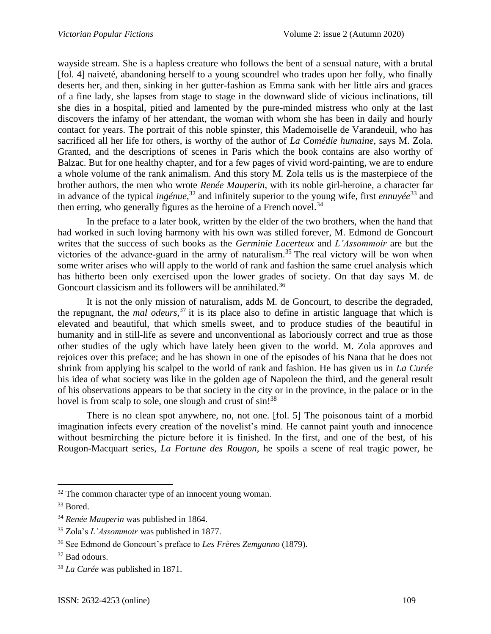wayside stream. She is a hapless creature who follows the bent of a sensual nature, with a brutal [fol. 4] naiveté, abandoning herself to a young scoundrel who trades upon her folly, who finally deserts her, and then, sinking in her gutter-fashion as Emma sank with her little airs and graces of a fine lady, she lapses from stage to stage in the downward slide of vicious inclinations, till she dies in a hospital, pitied and lamented by the pure-minded mistress who only at the last discovers the infamy of her attendant, the woman with whom she has been in daily and hourly contact for years. The portrait of this noble spinster, this Mademoiselle de Varandeuil, who has sacrificed all her life for others, is worthy of the author of *La Comédie humaine*, says M. Zola. Granted, and the descriptions of scenes in Paris which the book contains are also worthy of Balzac. But for one healthy chapter, and for a few pages of vivid word-painting, we are to endure a whole volume of the rank animalism. And this story M. Zola tells us is the masterpiece of the brother authors, the men who wrote *Renée Mauperin*, with its noble girl-heroine, a character far in advance of the typical *ingénue*, <sup>32</sup> and infinitely superior to the young wife, first *ennuyée*<sup>33</sup> and then erring, who generally figures as the heroine of a French novel.<sup>34</sup>

In the preface to a later book, written by the elder of the two brothers, when the hand that had worked in such loving harmony with his own was stilled forever, M. Edmond de Goncourt writes that the success of such books as the *Germinie Lacerteux* and *L'Assommoir* are but the victories of the advance-guard in the army of naturalism.<sup>35</sup> The real victory will be won when some writer arises who will apply to the world of rank and fashion the same cruel analysis which has hitherto been only exercised upon the lower grades of society. On that day says M. de Goncourt classicism and its followers will be annihilated.<sup>36</sup>

It is not the only mission of naturalism, adds M. de Goncourt, to describe the degraded, the repugnant, the *mal odeurs*, <sup>37</sup> it is its place also to define in artistic language that which is elevated and beautiful, that which smells sweet, and to produce studies of the beautiful in humanity and in still-life as severe and unconventional as laboriously correct and true as those other studies of the ugly which have lately been given to the world. M. Zola approves and rejoices over this preface; and he has shown in one of the episodes of his Nana that he does not shrink from applying his scalpel to the world of rank and fashion. He has given us in *La Curée* his idea of what society was like in the golden age of Napoleon the third, and the general result of his observations appears to be that society in the city or in the province, in the palace or in the hovel is from scalp to sole, one slough and crust of sin!<sup>38</sup>

There is no clean spot anywhere, no, not one. [fol. 5] The poisonous taint of a morbid imagination infects every creation of the novelist's mind. He cannot paint youth and innocence without besmirching the picture before it is finished. In the first, and one of the best, of his Rougon-Macquart series, *La Fortune des Rougon*, he spoils a scene of real tragic power, he

 $32$  The common character type of an innocent young woman.

<sup>&</sup>lt;sup>33</sup> Bored.

<sup>34</sup> *Renée Mauperin* was published in 1864.

<sup>35</sup> Zola's *L'Assommoir* was published in 1877.

<sup>36</sup> See Edmond de Goncourt's preface to *Les Frères Zemganno* (1879).

<sup>37</sup> Bad odours.

<sup>38</sup> *La Curée* was published in 1871.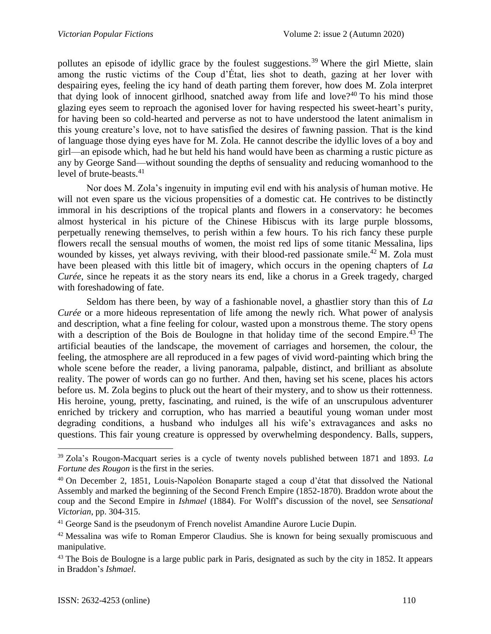pollutes an episode of idyllic grace by the foulest suggestions.<sup>39</sup> Where the girl Miette, slain among the rustic victims of the Coup d'État, lies shot to death, gazing at her lover with despairing eyes, feeling the icy hand of death parting them forever, how does M. Zola interpret that dying look of innocent girlhood, snatched away from life and love?<sup>40</sup> To his mind those glazing eyes seem to reproach the agonised lover for having respected his sweet-heart's purity, for having been so cold-hearted and perverse as not to have understood the latent animalism in this young creature's love, not to have satisfied the desires of fawning passion. That is the kind of language those dying eyes have for M. Zola. He cannot describe the idyllic loves of a boy and girl—an episode which, had he but held his hand would have been as charming a rustic picture as any by George Sand—without sounding the depths of sensuality and reducing womanhood to the level of brute-beasts.<sup>41</sup>

Nor does M. Zola's ingenuity in imputing evil end with his analysis of human motive. He will not even spare us the vicious propensities of a domestic cat. He contrives to be distinctly immoral in his descriptions of the tropical plants and flowers in a conservatory: he becomes almost hysterical in his picture of the Chinese Hibiscus with its large purple blossoms, perpetually renewing themselves, to perish within a few hours. To his rich fancy these purple flowers recall the sensual mouths of women, the moist red lips of some titanic Messalina, lips wounded by kisses, yet always reviving, with their blood-red passionate smile.<sup>42</sup> M. Zola must have been pleased with this little bit of imagery, which occurs in the opening chapters of *La Curée*, since he repeats it as the story nears its end, like a chorus in a Greek tragedy, charged with foreshadowing of fate.

Seldom has there been, by way of a fashionable novel, a ghastlier story than this of *La Curée* or a more hideous representation of life among the newly rich. What power of analysis and description, what a fine feeling for colour, wasted upon a monstrous theme. The story opens with a description of the Bois de Boulogne in that holiday time of the second Empire.<sup>43</sup> The artificial beauties of the landscape, the movement of carriages and horsemen, the colour, the feeling, the atmosphere are all reproduced in a few pages of vivid word-painting which bring the whole scene before the reader, a living panorama, palpable, distinct, and brilliant as absolute reality. The power of words can go no further. And then, having set his scene, places his actors before us. M. Zola begins to pluck out the heart of their mystery, and to show us their rottenness. His heroine, young, pretty, fascinating, and ruined, is the wife of an unscrupulous adventurer enriched by trickery and corruption, who has married a beautiful young woman under most degrading conditions, a husband who indulges all his wife's extravagances and asks no questions. This fair young creature is oppressed by overwhelming despondency. Balls, suppers,

<sup>39</sup> Zola's Rougon-Macquart series is a cycle of twenty novels published between 1871 and 1893. *La Fortune des Rougon* is the first in the series.

<sup>40</sup> On December 2, 1851, Louis-Napoléon Bonaparte staged a coup d'état that dissolved the National Assembly and marked the beginning of the Second French Empire (1852-1870). Braddon wrote about the coup and the Second Empire in *Ishmael* (1884). For Wolff's discussion of the novel, see *Sensational Victorian*, pp. 304-315.

<sup>&</sup>lt;sup>41</sup> George Sand is the pseudonym of French novelist Amandine Aurore Lucie Dupin.

<sup>&</sup>lt;sup>42</sup> Messalina was wife to Roman Emperor Claudius. She is known for being sexually promiscuous and manipulative.

<sup>&</sup>lt;sup>43</sup> The Bois de Boulogne is a large public park in Paris, designated as such by the city in 1852. It appears in Braddon's *Ishmael*.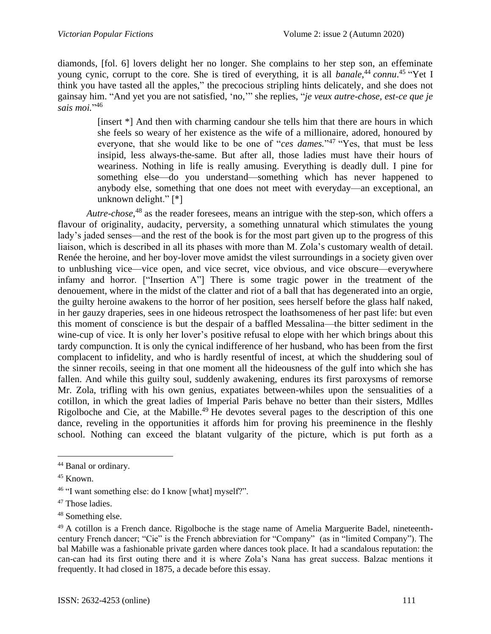diamonds, [fol. 6] lovers delight her no longer. She complains to her step son, an effeminate young cynic, corrupt to the core. She is tired of everything, it is all *banale*,<sup>44</sup> *connu*.<sup>45</sup> "Yet I think you have tasted all the apples," the precocious stripling hints delicately, and she does not gainsay him. "And yet you are not satisfied, 'no,'" she replies, "*je veux autre-chose, est-ce que je sais moi.*" 46

> [insert \*] And then with charming candour she tells him that there are hours in which she feels so weary of her existence as the wife of a millionaire, adored, honoured by everyone, that she would like to be one of "*ces dames*."<sup>47</sup> "Yes, that must be less insipid, less always-the-same. But after all, those ladies must have their hours of weariness. Nothing in life is really amusing. Everything is deadly dull. I pine for something else—do you understand—something which has never happened to anybody else, something that one does not meet with everyday—an exceptional, an unknown delight." [\*]

*Autre-chose*, <sup>48</sup> as the reader foresees, means an intrigue with the step-son, which offers a flavour of originality, audacity, perversity, a something unnatural which stimulates the young lady's jaded senses—and the rest of the book is for the most part given up to the progress of this liaison, which is described in all its phases with more than M. Zola's customary wealth of detail. Renée the heroine, and her boy-lover move amidst the vilest surroundings in a society given over to unblushing vice—vice open, and vice secret, vice obvious, and vice obscure—everywhere infamy and horror. ["Insertion A"] There is some tragic power in the treatment of the denouement, where in the midst of the clatter and riot of a ball that has degenerated into an orgie, the guilty heroine awakens to the horror of her position, sees herself before the glass half naked, in her gauzy draperies, sees in one hideous retrospect the loathsomeness of her past life: but even this moment of conscience is but the despair of a baffled Messalina—the bitter sediment in the wine-cup of vice. It is only her lover's positive refusal to elope with her which brings about this tardy compunction. It is only the cynical indifference of her husband, who has been from the first complacent to infidelity, and who is hardly resentful of incest, at which the shuddering soul of the sinner recoils, seeing in that one moment all the hideousness of the gulf into which she has fallen. And while this guilty soul, suddenly awakening, endures its first paroxysms of remorse Mr. Zola, trifling with his own genius, expatiates between-whiles upon the sensualities of a cotillon, in which the great ladies of Imperial Paris behave no better than their sisters, Mdlles Rigolboche and Cie, at the Mabille.<sup>49</sup> He devotes several pages to the description of this one dance, reveling in the opportunities it affords him for proving his preeminence in the fleshly school. Nothing can exceed the blatant vulgarity of the picture, which is put forth as a

<sup>44</sup> Banal or ordinary.

<sup>45</sup> Known.

<sup>&</sup>lt;sup>46</sup> "I want something else: do I know [what] myself?".

<sup>&</sup>lt;sup>47</sup> Those ladies.

<sup>48</sup> Something else.

 $49$  A cotillon is a French dance. Rigolboche is the stage name of Amelia Marguerite Badel, nineteenthcentury French dancer; "Cie" is the French abbreviation for "Company" (as in "limited Company"). The bal Mabille was a fashionable private garden where dances took place. It had a scandalous reputation: the can-can had its first outing there and it is where Zola's Nana has great success. Balzac mentions it frequently. It had closed in 1875, a decade before this essay.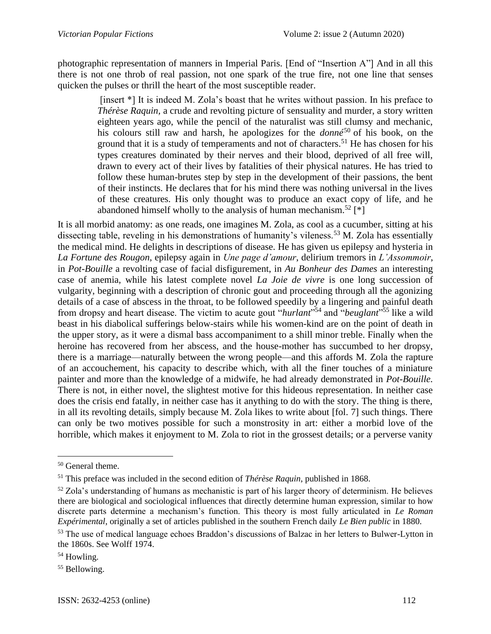photographic representation of manners in Imperial Paris. [End of "Insertion A"] And in all this there is not one throb of real passion, not one spark of the true fire, not one line that senses quicken the pulses or thrill the heart of the most susceptible reader.

> [insert \*] It is indeed M. Zola's boast that he writes without passion. In his preface to *Thérèse Raquin,* a crude and revolting picture of sensuality and murder, a story written eighteen years ago, while the pencil of the naturalist was still clumsy and mechanic, his colours still raw and harsh, he apologizes for the *donné*<sup>50</sup> of his book, on the ground that it is a study of temperaments and not of characters.<sup>51</sup> He has chosen for his types creatures dominated by their nerves and their blood, deprived of all free will, drawn to every act of their lives by fatalities of their physical natures. He has tried to follow these human-brutes step by step in the development of their passions, the bent of their instincts. He declares that for his mind there was nothing universal in the lives of these creatures. His only thought was to produce an exact copy of life, and he abandoned himself wholly to the analysis of human mechanism.<sup>52</sup> [\*]

It is all morbid anatomy: as one reads, one imagines M. Zola, as cool as a cucumber, sitting at his dissecting table, reveling in his demonstrations of humanity's vileness.<sup>53</sup> M. Zola has essentially the medical mind. He delights in descriptions of disease. He has given us epilepsy and hysteria in *La Fortune des Rougon*, epilepsy again in *Une page d'amour*, delirium tremors in *L'Assommoir*, in *Pot-Bouille* a revolting case of facial disfigurement, in *Au Bonheur des Dames* an interesting case of anemia, while his latest complete novel *La Joie de vivre* is one long succession of vulgarity, beginning with a description of chronic gout and proceeding through all the agonizing details of a case of abscess in the throat, to be followed speedily by a lingering and painful death from dropsy and heart disease. The victim to acute gout "*hurlant*" <sup>54</sup> and "*beuglant*" <sup>55</sup> like a wild beast in his diabolical sufferings below-stairs while his women-kind are on the point of death in the upper story, as it were a dismal bass accompaniment to a shill minor treble. Finally when the heroine has recovered from her abscess, and the house-mother has succumbed to her dropsy, there is a marriage—naturally between the wrong people—and this affords M. Zola the rapture of an accouchement, his capacity to describe which, with all the finer touches of a miniature painter and more than the knowledge of a midwife, he had already demonstrated in *Pot-Bouille.*  There is not, in either novel, the slightest motive for this hideous representation. In neither case does the crisis end fatally, in neither case has it anything to do with the story. The thing is there, in all its revolting details, simply because M. Zola likes to write about [fol. 7] such things. There can only be two motives possible for such a monstrosity in art: either a morbid love of the horrible, which makes it enjoyment to M. Zola to riot in the grossest details; or a perverse vanity

<sup>50</sup> General theme.

<sup>51</sup> This preface was included in the second edition of *Thérèse Raquin*, published in 1868.

 $52$  Zola's understanding of humans as mechanistic is part of his larger theory of determinism. He believes there are biological and sociological influences that directly determine human expression, similar to how discrete parts determine a mechanism's function. This theory is most fully articulated in *Le Roman Expérimental*, originally a set of articles published in the southern French daily *Le Bien public* in 1880.

<sup>53</sup> The use of medical language echoes Braddon's discussions of Balzac in her letters to Bulwer-Lytton in the 1860s. See Wolff 1974.

<sup>&</sup>lt;sup>54</sup> Howling.

<sup>&</sup>lt;sup>55</sup> Bellowing.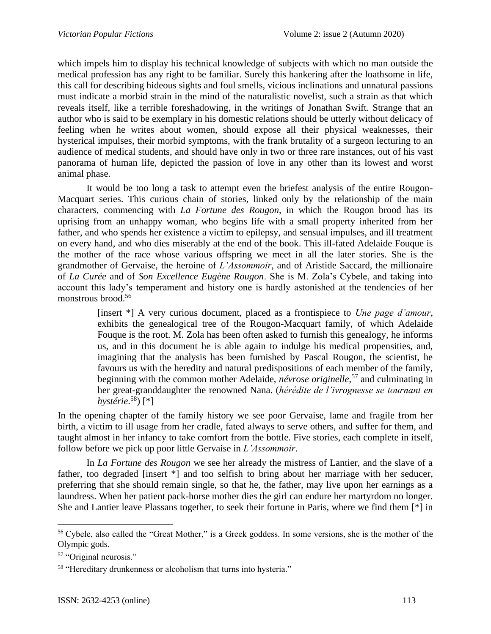which impels him to display his technical knowledge of subjects with which no man outside the medical profession has any right to be familiar. Surely this hankering after the loathsome in life, this call for describing hideous sights and foul smells, vicious inclinations and unnatural passions must indicate a morbid strain in the mind of the naturalistic novelist, such a strain as that which reveals itself, like a terrible foreshadowing, in the writings of Jonathan Swift. Strange that an author who is said to be exemplary in his domestic relations should be utterly without delicacy of feeling when he writes about women, should expose all their physical weaknesses, their hysterical impulses, their morbid symptoms, with the frank brutality of a surgeon lecturing to an audience of medical students, and should have only in two or three rare instances, out of his vast panorama of human life, depicted the passion of love in any other than its lowest and worst animal phase.

It would be too long a task to attempt even the briefest analysis of the entire Rougon-Macquart series. This curious chain of stories, linked only by the relationship of the main characters, commencing with *La Fortune des Rougon*, in which the Rougon brood has its uprising from an unhappy woman, who begins life with a small property inherited from her father, and who spends her existence a victim to epilepsy, and sensual impulses, and ill treatment on every hand, and who dies miserably at the end of the book. This ill-fated Adelaide Fouque is the mother of the race whose various offspring we meet in all the later stories. She is the grandmother of Gervaise, the heroine of *L'Assommoir*, and of Aristide Saccard, the millionaire of *La Curée* and of *Son Excellence Eugène Rougon*. She is M. Zola's Cybele, and taking into account this lady's temperament and history one is hardly astonished at the tendencies of her monstrous brood.<sup>56</sup>

> [insert \*] A very curious document, placed as a frontispiece to *Une page d'amour*, exhibits the genealogical tree of the Rougon-Macquart family, of which Adelaide Fouque is the root. M. Zola has been often asked to furnish this genealogy, he informs us, and in this document he is able again to indulge his medical propensities, and, imagining that the analysis has been furnished by Pascal Rougon, the scientist, he favours us with the heredity and natural predispositions of each member of the family, beginning with the common mother Adelaide, *névrose originelle*, <sup>57</sup> and culminating in her great-granddaughter the renowned Nana. (*hérédite de l'ivrognesse se tournant en hystérie*. <sup>58</sup>) [\*]

In the opening chapter of the family history we see poor Gervaise, lame and fragile from her birth, a victim to ill usage from her cradle, fated always to serve others, and suffer for them, and taught almost in her infancy to take comfort from the bottle. Five stories, each complete in itself, follow before we pick up poor little Gervaise in *L'Assommoir*.

In *La Fortune des Rougon* we see her already the mistress of Lantier, and the slave of a father, too degraded [insert \*] and too selfish to bring about her marriage with her seducer, preferring that she should remain single, so that he, the father, may live upon her earnings as a laundress. When her patient pack-horse mother dies the girl can endure her martyrdom no longer. She and Lantier leave Plassans together, to seek their fortune in Paris, where we find them [\*] in

<sup>56</sup> Cybele, also called the "Great Mother," is a Greek goddess. In some versions, she is the mother of the Olympic gods.

<sup>57</sup> "Original neurosis."

<sup>&</sup>lt;sup>58</sup> "Hereditary drunkenness or alcoholism that turns into hysteria."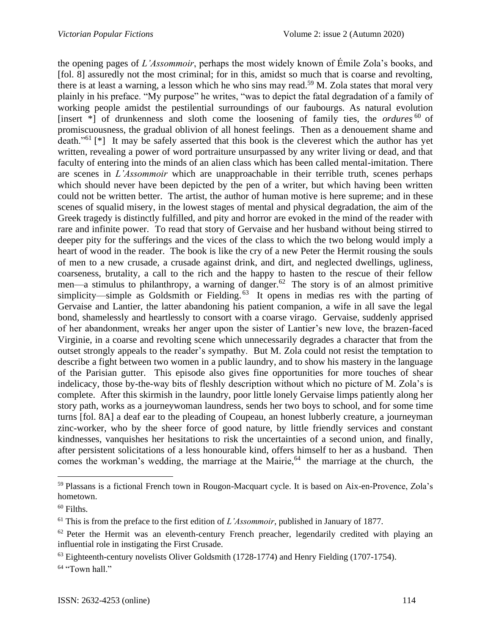the opening pages of *L'Assommoir*, perhaps the most widely known of Émile Zola's books, and [fol. 8] assuredly not the most criminal; for in this, amidst so much that is coarse and revolting, there is at least a warning, a lesson which he who sins may read.<sup>59</sup> M. Zola states that moral very plainly in his preface. "My purpose" he writes, "was to depict the fatal degradation of a family of working people amidst the pestilential surroundings of our faubourgs. As natural evolution [insert \*] of drunkenness and sloth come the loosening of family ties, the *ordures* <sup>60</sup> of promiscuousness, the gradual oblivion of all honest feelings. Then as a denouement shame and death."<sup>61</sup> [\*] It may be safely asserted that this book is the cleverest which the author has yet written, revealing a power of word portraiture unsurpassed by any writer living or dead, and that faculty of entering into the minds of an alien class which has been called mental-imitation. There are scenes in *L'Assommoir* which are unapproachable in their terrible truth, scenes perhaps which should never have been depicted by the pen of a writer, but which having been written could not be written better. The artist, the author of human motive is here supreme; and in these scenes of squalid misery, in the lowest stages of mental and physical degradation, the aim of the Greek tragedy is distinctly fulfilled, and pity and horror are evoked in the mind of the reader with rare and infinite power. To read that story of Gervaise and her husband without being stirred to deeper pity for the sufferings and the vices of the class to which the two belong would imply a heart of wood in the reader. The book is like the cry of a new Peter the Hermit rousing the souls of men to a new crusade, a crusade against drink, and dirt, and neglected dwellings, ugliness, coarseness, brutality, a call to the rich and the happy to hasten to the rescue of their fellow men—a stimulus to philanthropy, a warning of danger.<sup>62</sup> The story is of an almost primitive simplicity—simple as Goldsmith or Fielding.<sup>63</sup> It opens in medias res with the parting of Gervaise and Lantier, the latter abandoning his patient companion, a wife in all save the legal bond, shamelessly and heartlessly to consort with a coarse virago. Gervaise, suddenly apprised of her abandonment, wreaks her anger upon the sister of Lantier's new love, the brazen-faced Virginie, in a coarse and revolting scene which unnecessarily degrades a character that from the outset strongly appeals to the reader's sympathy. But M. Zola could not resist the temptation to describe a fight between two women in a public laundry, and to show his mastery in the language of the Parisian gutter. This episode also gives fine opportunities for more touches of shear indelicacy, those by-the-way bits of fleshly description without which no picture of M. Zola's is complete. After this skirmish in the laundry, poor little lonely Gervaise limps patiently along her story path, works as a journeywoman laundress, sends her two boys to school, and for some time turns [fol. 8A] a deaf ear to the pleading of Coupeau, an honest lubberly creature, a journeyman zinc-worker, who by the sheer force of good nature, by little friendly services and constant kindnesses, vanquishes her hesitations to risk the uncertainties of a second union, and finally, after persistent solicitations of a less honourable kind, offers himself to her as a husband. Then comes the workman's wedding, the marriage at the Mairie, $64$  the marriage at the church, the

<sup>59</sup> Plassans is a fictional French town in Rougon-Macquart cycle. It is based on Aix-en-Provence, Zola's hometown.

 $60$  Filths.

<sup>61</sup> This is from the preface to the first edition of *L'Assommoir*, published in January of 1877.

 $62$  Peter the Hermit was an eleventh-century French preacher, legendarily credited with playing an influential role in instigating the First Crusade.

<sup>&</sup>lt;sup>63</sup> Eighteenth-century novelists Oliver Goldsmith (1728-1774) and Henry Fielding (1707-1754).

<sup>&</sup>lt;sup>64</sup> "Town hall."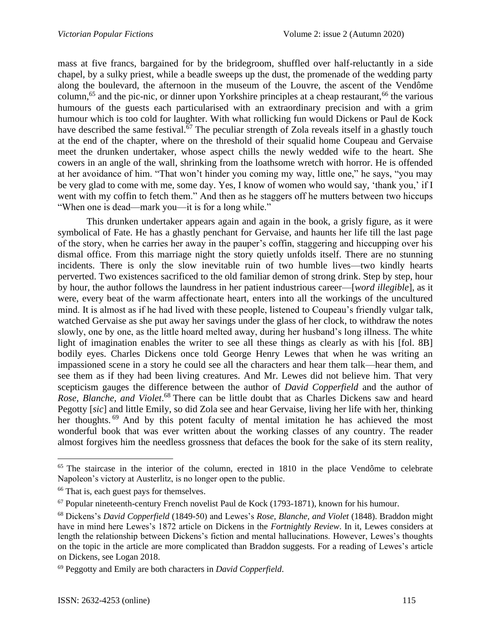mass at five francs, bargained for by the bridegroom, shuffled over half-reluctantly in a side chapel, by a sulky priest, while a beadle sweeps up the dust, the promenade of the wedding party along the boulevard, the afternoon in the museum of the Louvre, the ascent of the Vendôme column,<sup>65</sup> and the pic-nic, or dinner upon Yorkshire principles at a cheap restaurant,<sup>66</sup> the various humours of the guests each particularised with an extraordinary precision and with a grim humour which is too cold for laughter. With what rollicking fun would Dickens or Paul de Kock have described the same festival.<sup>67</sup> The peculiar strength of Zola reveals itself in a ghastly touch at the end of the chapter, where on the threshold of their squalid home Coupeau and Gervaise meet the drunken undertaker, whose aspect chills the newly wedded wife to the heart. She cowers in an angle of the wall, shrinking from the loathsome wretch with horror. He is offended at her avoidance of him. "That won't hinder you coming my way, little one," he says, "you may be very glad to come with me, some day. Yes, I know of women who would say, 'thank you,' if I went with my coffin to fetch them." And then as he staggers off he mutters between two hiccups "When one is dead—mark you—it is for a long while."

This drunken undertaker appears again and again in the book, a grisly figure, as it were symbolical of Fate. He has a ghastly penchant for Gervaise, and haunts her life till the last page of the story, when he carries her away in the pauper's coffin, staggering and hiccupping over his dismal office. From this marriage night the story quietly unfolds itself. There are no stunning incidents. There is only the slow inevitable ruin of two humble lives—two kindly hearts perverted. Two existences sacrificed to the old familiar demon of strong drink. Step by step, hour by hour, the author follows the laundress in her patient industrious career—[*word illegible*], as it were, every beat of the warm affectionate heart, enters into all the workings of the uncultured mind. It is almost as if he had lived with these people, listened to Coupeau's friendly vulgar talk, watched Gervaise as she put away her savings under the glass of her clock, to withdraw the notes slowly, one by one, as the little hoard melted away, during her husband's long illness. The white light of imagination enables the writer to see all these things as clearly as with his [fol. 8B] bodily eyes. Charles Dickens once told George Henry Lewes that when he was writing an impassioned scene in a story he could see all the characters and hear them talk—hear them, and see them as if they had been living creatures. And Mr. Lewes did not believe him. That very scepticism gauges the difference between the author of *David Copperfield* and the author of Rose, Blanche, and Violet.<sup>68</sup> There can be little doubt that as Charles Dickens saw and heard Pegotty [*sic*] and little Emily, so did Zola see and hear Gervaise, living her life with her, thinking her thoughts. <sup>69</sup> And by this potent faculty of mental imitation he has achieved the most wonderful book that was ever written about the working classes of any country. The reader almost forgives him the needless grossness that defaces the book for the sake of its stern reality,

<sup>&</sup>lt;sup>65</sup> The staircase in the interior of the column, erected in 1810 in the place Vendôme to celebrate Napoleon's victory at Austerlitz, is no longer open to the public.

<sup>&</sup>lt;sup>66</sup> That is, each guest pays for themselves.

 $67$  Popular nineteenth-century French novelist Paul de Kock (1793-1871), known for his humour.

<sup>68</sup> Dickens's *David Copperfield* (1849-50) and Lewes's *Rose, Blanche, and Violet* (1848). Braddon might have in mind here Lewes's 1872 article on Dickens in the *Fortnightly Review*. In it, Lewes considers at length the relationship between Dickens's fiction and mental hallucinations. However, Lewes's thoughts on the topic in the article are more complicated than Braddon suggests. For a reading of Lewes's article on Dickens, see Logan 2018.

<sup>69</sup> Peggotty and Emily are both characters in *David Copperfield*.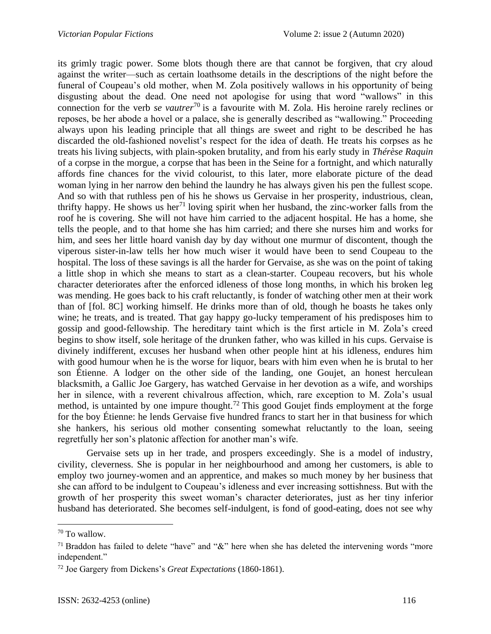its grimly tragic power. Some blots though there are that cannot be forgiven, that cry aloud against the writer—such as certain loathsome details in the descriptions of the night before the funeral of Coupeau's old mother, when M. Zola positively wallows in his opportunity of being disgusting about the dead. One need not apologise for using that word "wallows" in this connection for the verb *se vautrer*<sup>70</sup> is a favourite with M. Zola. His heroine rarely reclines or reposes, be her abode a hovel or a palace, she is generally described as "wallowing." Proceeding always upon his leading principle that all things are sweet and right to be described he has discarded the old-fashioned novelist's respect for the idea of death. He treats his corpses as he treats his living subjects, with plain-spoken brutality, and from his early study in *Thérèse Raquin* of a corpse in the morgue, a corpse that has been in the Seine for a fortnight, and which naturally affords fine chances for the vivid colourist, to this later, more elaborate picture of the dead woman lying in her narrow den behind the laundry he has always given his pen the fullest scope. And so with that ruthless pen of his he shows us Gervaise in her prosperity, industrious, clean, thrifty happy. He shows us her<sup>71</sup> loving spirit when her husband, the zinc-worker falls from the roof he is covering. She will not have him carried to the adjacent hospital. He has a home, she tells the people, and to that home she has him carried; and there she nurses him and works for him, and sees her little hoard vanish day by day without one murmur of discontent, though the viperous sister-in-law tells her how much wiser it would have been to send Coupeau to the hospital. The loss of these savings is all the harder for Gervaise, as she was on the point of taking a little shop in which she means to start as a clean-starter. Coupeau recovers, but his whole character deteriorates after the enforced idleness of those long months, in which his broken leg was mending. He goes back to his craft reluctantly, is fonder of watching other men at their work than of [fol. 8C] working himself. He drinks more than of old, though he boasts he takes only wine; he treats, and is treated. That gay happy go-lucky temperament of his predisposes him to gossip and good-fellowship. The hereditary taint which is the first article in M. Zola's creed begins to show itself, sole heritage of the drunken father, who was killed in his cups. Gervaise is divinely indifferent, excuses her husband when other people hint at his idleness, endures him with good humour when he is the worse for liquor, bears with him even when he is brutal to her son Étienne. A lodger on the other side of the landing, one Goujet, an honest herculean blacksmith, a Gallic Joe Gargery, has watched Gervaise in her devotion as a wife, and worships her in silence, with a reverent chivalrous affection, which, rare exception to M. Zola's usual method, is untainted by one impure thought.<sup>72</sup> This good Goujet finds employment at the forge for the boy Étienne: he lends Gervaise five hundred francs to start her in that business for which she hankers, his serious old mother consenting somewhat reluctantly to the loan, seeing regretfully her son's platonic affection for another man's wife.

Gervaise sets up in her trade, and prospers exceedingly. She is a model of industry, civility, cleverness. She is popular in her neighbourhood and among her customers, is able to employ two journey-women and an apprentice, and makes so much money by her business that she can afford to be indulgent to Coupeau's idleness and ever increasing sottishness. But with the growth of her prosperity this sweet woman's character deteriorates, just as her tiny inferior husband has deteriorated. She becomes self-indulgent, is fond of good-eating, does not see why

<sup>70</sup> To wallow.

<sup>&</sup>lt;sup>71</sup> Braddon has failed to delete "have" and " $\&$ " here when she has deleted the intervening words "more" independent."

<sup>72</sup> Joe Gargery from Dickens's *Great Expectations* (1860-1861).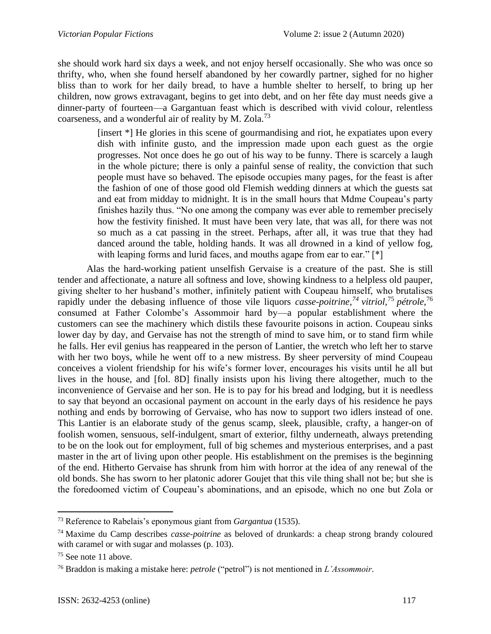she should work hard six days a week, and not enjoy herself occasionally. She who was once so thrifty, who, when she found herself abandoned by her cowardly partner, sighed for no higher bliss than to work for her daily bread, to have a humble shelter to herself, to bring up her children, now grows extravagant, begins to get into debt, and on her fête day must needs give a dinner-party of fourteen—a Gargantuan feast which is described with vivid colour, relentless coarseness, and a wonderful air of reality by M. Zola.<sup>73</sup>

> [insert \*] He glories in this scene of gourmandising and riot, he expatiates upon every dish with infinite gusto, and the impression made upon each guest as the orgie progresses. Not once does he go out of his way to be funny. There is scarcely a laugh in the whole picture; there is only a painful sense of reality, the conviction that such people must have so behaved. The episode occupies many pages, for the feast is after the fashion of one of those good old Flemish wedding dinners at which the guests sat and eat from midday to midnight. It is in the small hours that Mdme Coupeau's party finishes hazily thus. "No one among the company was ever able to remember precisely how the festivity finished. It must have been very late, that was all, for there was not so much as a cat passing in the street. Perhaps, after all, it was true that they had danced around the table, holding hands. It was all drowned in a kind of yellow fog, with leaping forms and lurid faces, and mouths agape from ear to ear." [\*]

Alas the hard-working patient unselfish Gervaise is a creature of the past. She is still tender and affectionate, a nature all softness and love, showing kindness to a helpless old pauper, giving shelter to her husband's mother, infinitely patient with Coupeau himself, who brutalises rapidly under the debasing influence of those vile liquors *casse-poitrine,<sup>74</sup> vitriol,*<sup>75</sup> *pétrole*, 76 consumed at Father Colombe's Assommoir hard by—a popular establishment where the customers can see the machinery which distils these favourite poisons in action. Coupeau sinks lower day by day, and Gervaise has not the strength of mind to save him, or to stand firm while he falls. Her evil genius has reappeared in the person of Lantier, the wretch who left her to starve with her two boys, while he went off to a new mistress. By sheer perversity of mind Coupeau conceives a violent friendship for his wife's former lover, encourages his visits until he all but lives in the house, and [fol. 8D] finally insists upon his living there altogether, much to the inconvenience of Gervaise and her son. He is to pay for his bread and lodging, but it is needless to say that beyond an occasional payment on account in the early days of his residence he pays nothing and ends by borrowing of Gervaise, who has now to support two idlers instead of one. This Lantier is an elaborate study of the genus scamp, sleek, plausible, crafty, a hanger-on of foolish women, sensuous, self-indulgent, smart of exterior, filthy underneath, always pretending to be on the look out for employment, full of big schemes and mysterious enterprises, and a past master in the art of living upon other people. His establishment on the premises is the beginning of the end. Hitherto Gervaise has shrunk from him with horror at the idea of any renewal of the old bonds. She has sworn to her platonic adorer Goujet that this vile thing shall not be; but she is the foredoomed victim of Coupeau's abominations, and an episode, which no one but Zola or

<sup>73</sup> Reference to Rabelais's eponymous giant from *Gargantua* (1535).

<sup>74</sup> Maxime du Camp describes *casse-poitrine* as beloved of drunkards: a cheap strong brandy coloured with caramel or with sugar and molasses (p. 103).

<sup>75</sup> See note 11 above.

<sup>76</sup> Braddon is making a mistake here: *petrole* ("petrol") is not mentioned in *L'Assommoir*.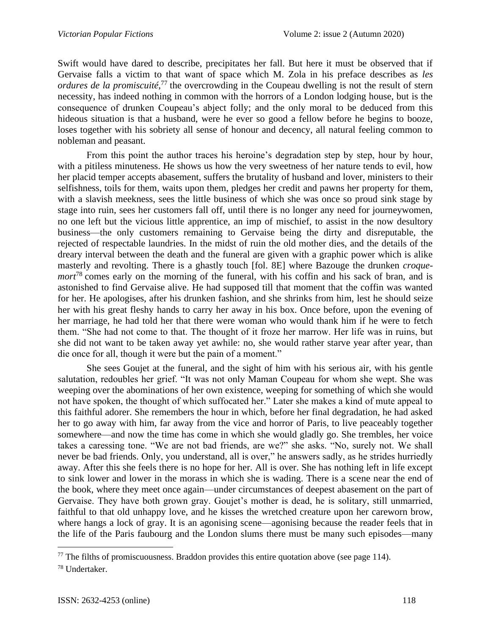Swift would have dared to describe, precipitates her fall. But here it must be observed that if Gervaise falls a victim to that want of space which M. Zola in his preface describes as *les*  ordures de la promiscuité,<sup>77</sup> the overcrowding in the Coupeau dwelling is not the result of stern necessity, has indeed nothing in common with the horrors of a London lodging house, but is the consequence of drunken Coupeau's abject folly; and the only moral to be deduced from this hideous situation is that a husband, were he ever so good a fellow before he begins to booze, loses together with his sobriety all sense of honour and decency, all natural feeling common to nobleman and peasant.

From this point the author traces his heroine's degradation step by step, hour by hour, with a pitiless minuteness. He shows us how the very sweetness of her nature tends to evil, how her placid temper accepts abasement, suffers the brutality of husband and lover, ministers to their selfishness, toils for them, waits upon them, pledges her credit and pawns her property for them, with a slavish meekness, sees the little business of which she was once so proud sink stage by stage into ruin, sees her customers fall off, until there is no longer any need for journeywomen, no one left but the vicious little apprentice, an imp of mischief, to assist in the now desultory business—the only customers remaining to Gervaise being the dirty and disreputable, the rejected of respectable laundries. In the midst of ruin the old mother dies, and the details of the dreary interval between the death and the funeral are given with a graphic power which is alike masterly and revolting. There is a ghastly touch [fol. 8E] where Bazouge the drunken *croquemort*<sup>78</sup> comes early on the morning of the funeral, with his coffin and his sack of bran, and is astonished to find Gervaise alive. He had supposed till that moment that the coffin was wanted for her. He apologises, after his drunken fashion, and she shrinks from him, lest he should seize her with his great fleshy hands to carry her away in his box. Once before, upon the evening of her marriage, he had told her that there were woman who would thank him if he were to fetch them. "She had not come to that. The thought of it froze her marrow. Her life was in ruins, but she did not want to be taken away yet awhile: no, she would rather starve year after year, than die once for all, though it were but the pain of a moment."

She sees Goujet at the funeral, and the sight of him with his serious air, with his gentle salutation, redoubles her grief. "It was not only Maman Coupeau for whom she wept. She was weeping over the abominations of her own existence, weeping for something of which she would not have spoken, the thought of which suffocated her." Later she makes a kind of mute appeal to this faithful adorer. She remembers the hour in which, before her final degradation, he had asked her to go away with him, far away from the vice and horror of Paris, to live peaceably together somewhere—and now the time has come in which she would gladly go. She trembles, her voice takes a caressing tone. "We are not bad friends, are we?" she asks. "No, surely not. We shall never be bad friends. Only, you understand, all is over," he answers sadly, as he strides hurriedly away. After this she feels there is no hope for her. All is over. She has nothing left in life except to sink lower and lower in the morass in which she is wading. There is a scene near the end of the book, where they meet once again—under circumstances of deepest abasement on the part of Gervaise. They have both grown gray. Goujet's mother is dead, he is solitary, still unmarried, faithful to that old unhappy love, and he kisses the wretched creature upon her careworn brow, where hangs a lock of gray. It is an agonising scene—agonising because the reader feels that in the life of the Paris faubourg and the London slums there must be many such episodes—many

 $77$  The filths of promiscuousness. Braddon provides this entire quotation above (see page 114).

<sup>78</sup> Undertaker.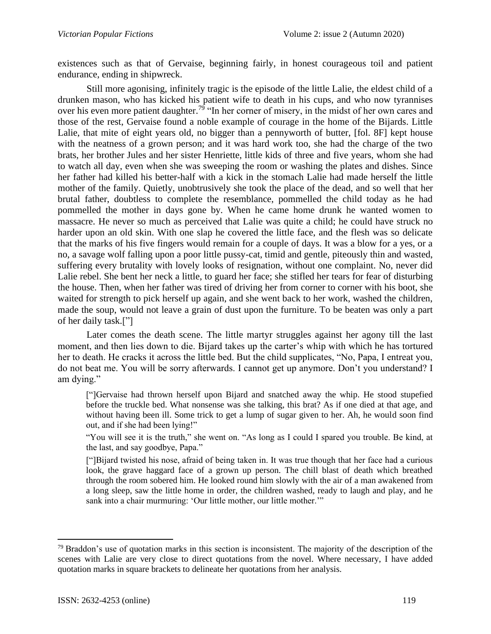existences such as that of Gervaise, beginning fairly, in honest courageous toil and patient endurance, ending in shipwreck.

Still more agonising, infinitely tragic is the episode of the little Lalie, the eldest child of a drunken mason, who has kicked his patient wife to death in his cups, and who now tyrannises over his even more patient daughter.<sup>79</sup> "In her corner of misery, in the midst of her own cares and those of the rest, Gervaise found a noble example of courage in the home of the Bijards. Little Lalie, that mite of eight years old, no bigger than a pennyworth of butter, [fol. 8F] kept house with the neatness of a grown person; and it was hard work too, she had the charge of the two brats, her brother Jules and her sister Henriette, little kids of three and five years, whom she had to watch all day, even when she was sweeping the room or washing the plates and dishes. Since her father had killed his better-half with a kick in the stomach Lalie had made herself the little mother of the family. Quietly, unobtrusively she took the place of the dead, and so well that her brutal father, doubtless to complete the resemblance, pommelled the child today as he had pommelled the mother in days gone by. When he came home drunk he wanted women to massacre. He never so much as perceived that Lalie was quite a child; he could have struck no harder upon an old skin. With one slap he covered the little face, and the flesh was so delicate that the marks of his five fingers would remain for a couple of days. It was a blow for a yes, or a no, a savage wolf falling upon a poor little pussy-cat, timid and gentle, piteously thin and wasted, suffering every brutality with lovely looks of resignation, without one complaint. No, never did Lalie rebel. She bent her neck a little, to guard her face; she stifled her tears for fear of disturbing the house. Then, when her father was tired of driving her from corner to corner with his boot, she waited for strength to pick herself up again, and she went back to her work, washed the children, made the soup, would not leave a grain of dust upon the furniture. To be beaten was only a part of her daily task.["]

Later comes the death scene. The little martyr struggles against her agony till the last moment, and then lies down to die. Bijard takes up the carter's whip with which he has tortured her to death. He cracks it across the little bed. But the child supplicates, "No, Papa, I entreat you, do not beat me. You will be sorry afterwards. I cannot get up anymore. Don't you understand? I am dying."

["]Gervaise had thrown herself upon Bijard and snatched away the whip. He stood stupefied before the truckle bed. What nonsense was she talking, this brat? As if one died at that age, and without having been ill. Some trick to get a lump of sugar given to her. Ah, he would soon find out, and if she had been lying!"

"You will see it is the truth," she went on. "As long as I could I spared you trouble. Be kind, at the last, and say goodbye, Papa."

["]Bijard twisted his nose, afraid of being taken in. It was true though that her face had a curious look, the grave haggard face of a grown up person. The chill blast of death which breathed through the room sobered him. He looked round him slowly with the air of a man awakened from a long sleep, saw the little home in order, the children washed, ready to laugh and play, and he sank into a chair murmuring: 'Our little mother, our little mother.'"

<sup>&</sup>lt;sup>79</sup> Braddon's use of quotation marks in this section is inconsistent. The majority of the description of the scenes with Lalie are very close to direct quotations from the novel. Where necessary, I have added quotation marks in square brackets to delineate her quotations from her analysis.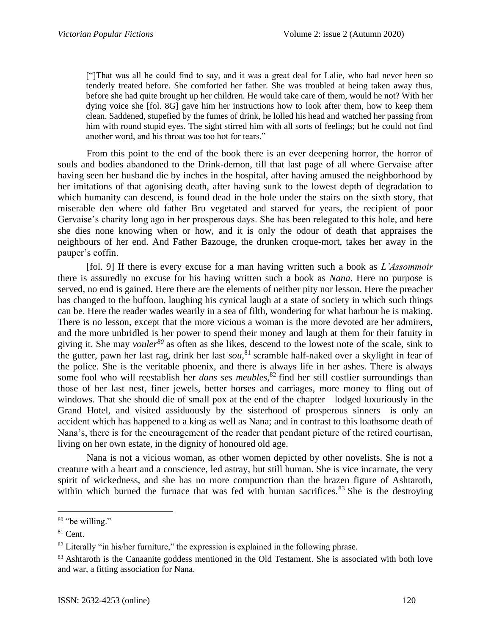["]That was all he could find to say, and it was a great deal for Lalie, who had never been so tenderly treated before. She comforted her father. She was troubled at being taken away thus, before she had quite brought up her children. He would take care of them, would he not? With her dying voice she [fol. 8G] gave him her instructions how to look after them, how to keep them clean. Saddened, stupefied by the fumes of drink, he lolled his head and watched her passing from him with round stupid eyes. The sight stirred him with all sorts of feelings; but he could not find another word, and his throat was too hot for tears."

From this point to the end of the book there is an ever deepening horror, the horror of souls and bodies abandoned to the Drink-demon, till that last page of all where Gervaise after having seen her husband die by inches in the hospital, after having amused the neighborhood by her imitations of that agonising death, after having sunk to the lowest depth of degradation to which humanity can descend, is found dead in the hole under the stairs on the sixth story, that miserable den where old father Bru vegetated and starved for years, the recipient of poor Gervaise's charity long ago in her prosperous days. She has been relegated to this hole, and here she dies none knowing when or how, and it is only the odour of death that appraises the neighbours of her end. And Father Bazouge, the drunken croque-mort, takes her away in the pauper's coffin.

[fol. 9] If there is every excuse for a man having written such a book as *L'Assommoir* there is assuredly no excuse for his having written such a book as *Nana*. Here no purpose is served, no end is gained. Here there are the elements of neither pity nor lesson. Here the preacher has changed to the buffoon, laughing his cynical laugh at a state of society in which such things can be. Here the reader wades wearily in a sea of filth, wondering for what harbour he is making. There is no lesson, except that the more vicious a woman is the more devoted are her admirers, and the more unbridled is her power to spend their money and laugh at them for their fatuity in giving it. She may *vouler<sup>80</sup>* as often as she likes, descend to the lowest note of the scale, sink to the gutter, pawn her last rag, drink her last *sou*, <sup>81</sup> scramble half-naked over a skylight in fear of the police. She is the veritable phoenix, and there is always life in her ashes. There is always some fool who will reestablish her *dans ses meubles,*<sup>82</sup> find her still costlier surroundings than those of her last nest, finer jewels, better horses and carriages, more money to fling out of windows. That she should die of small pox at the end of the chapter—lodged luxuriously in the Grand Hotel, and visited assiduously by the sisterhood of prosperous sinners—is only an accident which has happened to a king as well as Nana; and in contrast to this loathsome death of Nana's, there is for the encouragement of the reader that pendant picture of the retired courtisan, living on her own estate, in the dignity of honoured old age.

Nana is not a vicious woman, as other women depicted by other novelists. She is not a creature with a heart and a conscience, led astray, but still human. She is vice incarnate, the very spirit of wickedness, and she has no more compunction than the brazen figure of Ashtaroth, within which burned the furnace that was fed with human sacrifices.<sup>83</sup> She is the destroying

<sup>80</sup> "be willing."

 $81$  Cent.

 $82$  Literally "in his/her furniture," the expression is explained in the following phrase.

<sup>&</sup>lt;sup>83</sup> Ashtaroth is the Canaanite goddess mentioned in the Old Testament. She is associated with both love and war, a fitting association for Nana.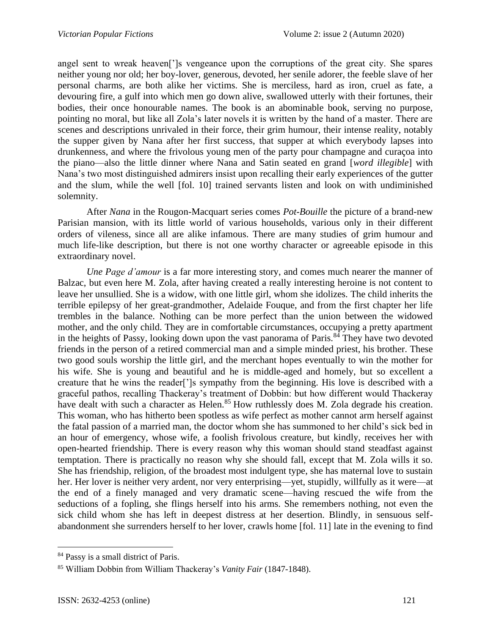angel sent to wreak heaven[']s vengeance upon the corruptions of the great city. She spares neither young nor old; her boy-lover, generous, devoted, her senile adorer, the feeble slave of her personal charms, are both alike her victims. She is merciless, hard as iron, cruel as fate, a devouring fire, a gulf into which men go down alive, swallowed utterly with their fortunes, their bodies, their once honourable names. The book is an abominable book, serving no purpose, pointing no moral, but like all Zola's later novels it is written by the hand of a master. There are scenes and descriptions unrivaled in their force, their grim humour, their intense reality, notably the supper given by Nana after her first success, that supper at which everybody lapses into drunkenness, and where the frivolous young men of the party pour champagne and curaçoa into the piano—also the little dinner where Nana and Satin seated en grand [*word illegible*] with Nana's two most distinguished admirers insist upon recalling their early experiences of the gutter and the slum, while the well [fol. 10] trained servants listen and look on with undiminished solemnity.

After *Nana* in the Rougon-Macquart series comes *Pot-Bouille* the picture of a brand-new Parisian mansion, with its little world of various households, various only in their different orders of vileness, since all are alike infamous. There are many studies of grim humour and much life-like description, but there is not one worthy character or agreeable episode in this extraordinary novel.

*Une Page d'amour* is a far more interesting story, and comes much nearer the manner of Balzac, but even here M. Zola, after having created a really interesting heroine is not content to leave her unsullied. She is a widow, with one little girl, whom she idolizes. The child inherits the terrible epilepsy of her great-grandmother, Adelaide Fouque, and from the first chapter her life trembles in the balance. Nothing can be more perfect than the union between the widowed mother, and the only child. They are in comfortable circumstances, occupying a pretty apartment in the heights of Passy, looking down upon the vast panorama of Paris.<sup>84</sup> They have two devoted friends in the person of a retired commercial man and a simple minded priest, his brother. These two good souls worship the little girl, and the merchant hopes eventually to win the mother for his wife. She is young and beautiful and he is middle-aged and homely, but so excellent a creature that he wins the reader[']s sympathy from the beginning. His love is described with a graceful pathos, recalling Thackeray's treatment of Dobbin: but how different would Thackeray have dealt with such a character as Helen.<sup>85</sup> How ruthlessly does M. Zola degrade his creation. This woman, who has hitherto been spotless as wife perfect as mother cannot arm herself against the fatal passion of a married man, the doctor whom she has summoned to her child's sick bed in an hour of emergency, whose wife, a foolish frivolous creature, but kindly, receives her with open-hearted friendship. There is every reason why this woman should stand steadfast against temptation. There is practically no reason why she should fall, except that M. Zola wills it so. She has friendship, religion, of the broadest most indulgent type, she has maternal love to sustain her. Her lover is neither very ardent, nor very enterprising—yet, stupidly, willfully as it were—at the end of a finely managed and very dramatic scene—having rescued the wife from the seductions of a fopling, she flings herself into his arms. She remembers nothing, not even the sick child whom she has left in deepest distress at her desertion. Blindly, in sensuous selfabandonment she surrenders herself to her lover, crawls home [fol. 11] late in the evening to find

<sup>84</sup> Passy is a small district of Paris.

<sup>85</sup> William Dobbin from William Thackeray's *Vanity Fair* (1847-1848).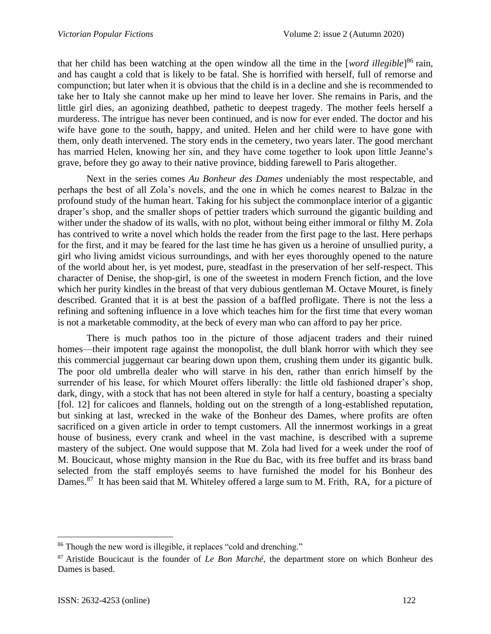that her child has been watching at the open window all the time in the [*word illegible*] <sup>86</sup> rain, and has caught a cold that is likely to be fatal. She is horrified with herself, full of remorse and compunction; but later when it is obvious that the child is in a decline and she is recommended to take her to Italy she cannot make up her mind to leave her lover. She remains in Paris, and the little girl dies, an agonizing deathbed, pathetic to deepest tragedy. The mother feels herself a murderess. The intrigue has never been continued, and is now for ever ended. The doctor and his wife have gone to the south, happy, and united. Helen and her child were to have gone with them, only death intervened. The story ends in the cemetery, two years later. The good merchant has married Helen, knowing her sin, and they have come together to look upon little Jeanne's grave, before they go away to their native province, bidding farewell to Paris altogether.

Next in the series comes *Au Bonheur des Dames* undeniably the most respectable, and perhaps the best of all Zola's novels, and the one in which he comes nearest to Balzac in the profound study of the human heart. Taking for his subject the commonplace interior of a gigantic draper's shop, and the smaller shops of pettier traders which surround the gigantic building and wither under the shadow of its walls, with no plot, without being either immoral or filthy M. Zola has contrived to write a novel which holds the reader from the first page to the last. Here perhaps for the first, and it may be feared for the last time he has given us a heroine of unsullied purity, a girl who living amidst vicious surroundings, and with her eyes thoroughly opened to the nature of the world about her, is yet modest, pure, steadfast in the preservation of her self-respect. This character of Denise, the shop-girl, is one of the sweetest in modern French fiction, and the love which her purity kindles in the breast of that very dubious gentleman M. Octave Mouret, is finely described. Granted that it is at best the passion of a baffled profligate. There is not the less a refining and softening influence in a love which teaches him for the first time that every woman is not a marketable commodity, at the beck of every man who can afford to pay her price.

There is much pathos too in the picture of those adjacent traders and their ruined homes—their impotent rage against the monopolist, the dull blank horror with which they see this commercial juggernaut car bearing down upon them, crushing them under its gigantic bulk. The poor old umbrella dealer who will starve in his den, rather than enrich himself by the surrender of his lease, for which Mouret offers liberally: the little old fashioned draper's shop, dark, dingy, with a stock that has not been altered in style for half a century, boasting a specialty [fol. 12] for calicoes and flannels, holding out on the strength of a long-established reputation, but sinking at last, wrecked in the wake of the Bonheur des Dames, where profits are often sacrificed on a given article in order to tempt customers. All the innermost workings in a great house of business, every crank and wheel in the vast machine, is described with a supreme mastery of the subject. One would suppose that M. Zola had lived for a week under the roof of M. Boucicaut, whose mighty mansion in the Rue du Bac, with its free buffet and its brass band selected from the staff employés seems to have furnished the model for his Bonheur des Dames.<sup>87</sup> It has been said that M. Whiteley offered a large sum to M. Frith, RA, for a picture of

<sup>86</sup> Though the new word is illegible, it replaces "cold and drenching."

<sup>87</sup> Aristide Boucicaut is the founder of *Le Bon Marché*, the department store on which Bonheur des Dames is based.